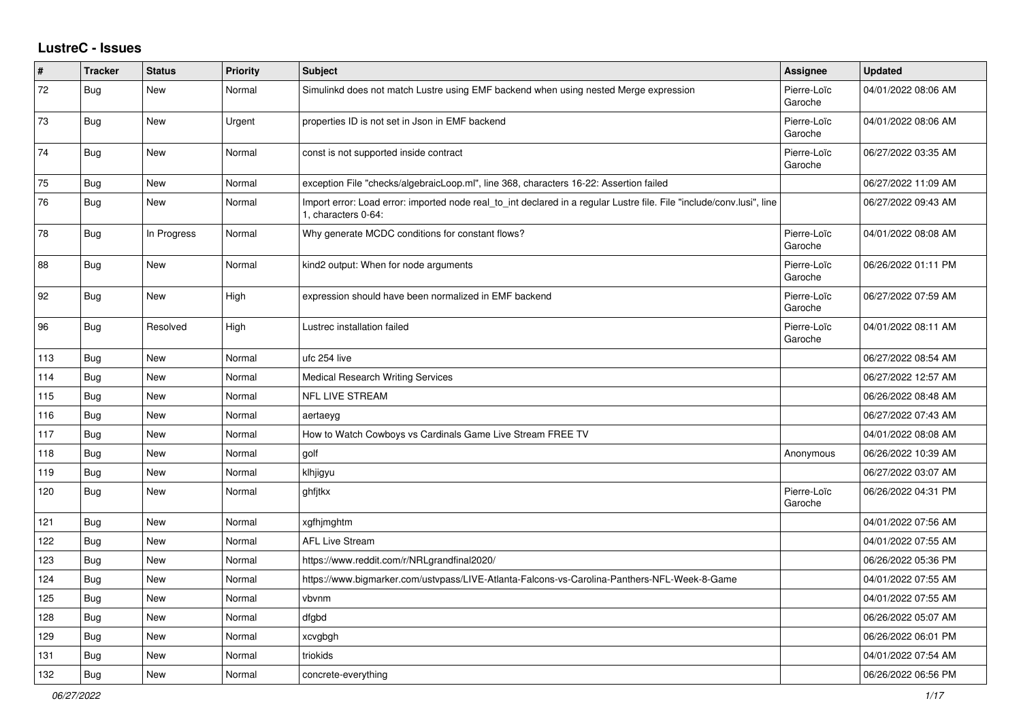## **LustreC - Issues**

| #   | <b>Tracker</b> | <b>Status</b> | <b>Priority</b> | <b>Subject</b>                                                                                                                               | Assignee               | <b>Updated</b>      |
|-----|----------------|---------------|-----------------|----------------------------------------------------------------------------------------------------------------------------------------------|------------------------|---------------------|
| 72  | <b>Bug</b>     | <b>New</b>    | Normal          | Simulinkd does not match Lustre using EMF backend when using nested Merge expression                                                         | Pierre-Loïc<br>Garoche | 04/01/2022 08:06 AM |
| 73  | <b>Bug</b>     | <b>New</b>    | Urgent          | properties ID is not set in Json in EMF backend                                                                                              | Pierre-Loïc<br>Garoche | 04/01/2022 08:06 AM |
| 74  | <b>Bug</b>     | New           | Normal          | const is not supported inside contract                                                                                                       | Pierre-Loïc<br>Garoche | 06/27/2022 03:35 AM |
| 75  | <b>Bug</b>     | New           | Normal          | exception File "checks/algebraicLoop.ml", line 368, characters 16-22: Assertion failed                                                       |                        | 06/27/2022 11:09 AM |
| 76  | <b>Bug</b>     | New           | Normal          | Import error: Load error: imported node real to int declared in a regular Lustre file. File "include/conv.lusi", line<br>1, characters 0-64: |                        | 06/27/2022 09:43 AM |
| 78  | <b>Bug</b>     | In Progress   | Normal          | Why generate MCDC conditions for constant flows?                                                                                             | Pierre-Loïc<br>Garoche | 04/01/2022 08:08 AM |
| 88  | <b>Bug</b>     | New           | Normal          | kind2 output: When for node arguments                                                                                                        | Pierre-Loïc<br>Garoche | 06/26/2022 01:11 PM |
| 92  | <b>Bug</b>     | New           | High            | expression should have been normalized in EMF backend                                                                                        | Pierre-Loïc<br>Garoche | 06/27/2022 07:59 AM |
| 96  | <b>Bug</b>     | Resolved      | High            | Lustrec installation failed                                                                                                                  | Pierre-Loïc<br>Garoche | 04/01/2022 08:11 AM |
| 113 | Bug            | <b>New</b>    | Normal          | ufc 254 live                                                                                                                                 |                        | 06/27/2022 08:54 AM |
| 114 | <b>Bug</b>     | <b>New</b>    | Normal          | <b>Medical Research Writing Services</b>                                                                                                     |                        | 06/27/2022 12:57 AM |
| 115 | <b>Bug</b>     | New           | Normal          | <b>NFL LIVE STREAM</b>                                                                                                                       |                        | 06/26/2022 08:48 AM |
| 116 | <b>Bug</b>     | New           | Normal          | aertaeyg                                                                                                                                     |                        | 06/27/2022 07:43 AM |
| 117 | Bug            | New           | Normal          | How to Watch Cowboys vs Cardinals Game Live Stream FREE TV                                                                                   |                        | 04/01/2022 08:08 AM |
| 118 | Bug            | New           | Normal          | golf                                                                                                                                         | Anonymous              | 06/26/2022 10:39 AM |
| 119 | <b>Bug</b>     | New           | Normal          | klhjigyu                                                                                                                                     |                        | 06/27/2022 03:07 AM |
| 120 | <b>Bug</b>     | New           | Normal          | ghfjtkx                                                                                                                                      | Pierre-Loïc<br>Garoche | 06/26/2022 04:31 PM |
| 121 | Bug            | New           | Normal          | xgfhjmghtm                                                                                                                                   |                        | 04/01/2022 07:56 AM |
| 122 | Bug            | <b>New</b>    | Normal          | <b>AFL Live Stream</b>                                                                                                                       |                        | 04/01/2022 07:55 AM |
| 123 | Bug            | New           | Normal          | https://www.reddit.com/r/NRLgrandfinal2020/                                                                                                  |                        | 06/26/2022 05:36 PM |
| 124 | Bug            | New           | Normal          | https://www.bigmarker.com/ustvpass/LIVE-Atlanta-Falcons-vs-Carolina-Panthers-NFL-Week-8-Game                                                 |                        | 04/01/2022 07:55 AM |
| 125 | <b>Bug</b>     | <b>New</b>    | Normal          | vbvnm                                                                                                                                        |                        | 04/01/2022 07:55 AM |
| 128 | <b>Bug</b>     | <b>New</b>    | Normal          | dfgbd                                                                                                                                        |                        | 06/26/2022 05:07 AM |
| 129 | Bug            | New           | Normal          | xcvgbgh                                                                                                                                      |                        | 06/26/2022 06:01 PM |
| 131 | <b>Bug</b>     | <b>New</b>    | Normal          | triokids                                                                                                                                     |                        | 04/01/2022 07:54 AM |
| 132 | <b>Bug</b>     | <b>New</b>    | Normal          | concrete-everything                                                                                                                          |                        | 06/26/2022 06:56 PM |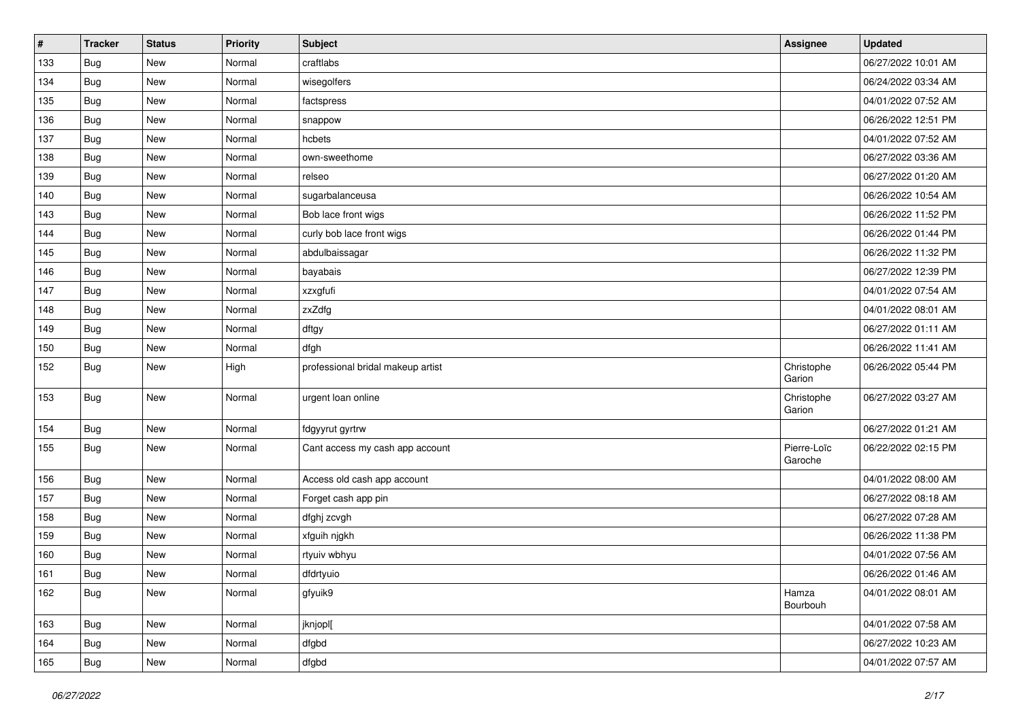| #   | <b>Tracker</b> | <b>Status</b> | <b>Priority</b> | <b>Subject</b>                    | <b>Assignee</b>        | <b>Updated</b>      |
|-----|----------------|---------------|-----------------|-----------------------------------|------------------------|---------------------|
| 133 | <b>Bug</b>     | New           | Normal          | craftlabs                         |                        | 06/27/2022 10:01 AM |
| 134 | <b>Bug</b>     | New           | Normal          | wisegolfers                       |                        | 06/24/2022 03:34 AM |
| 135 | <b>Bug</b>     | New           | Normal          | factspress                        |                        | 04/01/2022 07:52 AM |
| 136 | <b>Bug</b>     | New           | Normal          | snappow                           |                        | 06/26/2022 12:51 PM |
| 137 | <b>Bug</b>     | New           | Normal          | hcbets                            |                        | 04/01/2022 07:52 AM |
| 138 | <b>Bug</b>     | New           | Normal          | own-sweethome                     |                        | 06/27/2022 03:36 AM |
| 139 | <b>Bug</b>     | <b>New</b>    | Normal          | relseo                            |                        | 06/27/2022 01:20 AM |
| 140 | <b>Bug</b>     | New           | Normal          | sugarbalanceusa                   |                        | 06/26/2022 10:54 AM |
| 143 | <b>Bug</b>     | New           | Normal          | Bob lace front wigs               |                        | 06/26/2022 11:52 PM |
| 144 | <b>Bug</b>     | New           | Normal          | curly bob lace front wigs         |                        | 06/26/2022 01:44 PM |
| 145 | <b>Bug</b>     | New           | Normal          | abdulbaissagar                    |                        | 06/26/2022 11:32 PM |
| 146 | <b>Bug</b>     | New           | Normal          | bayabais                          |                        | 06/27/2022 12:39 PM |
| 147 | <b>Bug</b>     | New           | Normal          | xzxgfufi                          |                        | 04/01/2022 07:54 AM |
| 148 | <b>Bug</b>     | <b>New</b>    | Normal          | zxZdfg                            |                        | 04/01/2022 08:01 AM |
| 149 | <b>Bug</b>     | New           | Normal          | dftgy                             |                        | 06/27/2022 01:11 AM |
| 150 | <b>Bug</b>     | New           | Normal          | dfgh                              |                        | 06/26/2022 11:41 AM |
| 152 | <b>Bug</b>     | New           | High            | professional bridal makeup artist | Christophe<br>Garion   | 06/26/2022 05:44 PM |
| 153 | <b>Bug</b>     | New           | Normal          | urgent loan online                | Christophe<br>Garion   | 06/27/2022 03:27 AM |
| 154 | <b>Bug</b>     | New           | Normal          | fdgyyrut gyrtrw                   |                        | 06/27/2022 01:21 AM |
| 155 | <b>Bug</b>     | New           | Normal          | Cant access my cash app account   | Pierre-Loïc<br>Garoche | 06/22/2022 02:15 PM |
| 156 | <b>Bug</b>     | New           | Normal          | Access old cash app account       |                        | 04/01/2022 08:00 AM |
| 157 | <b>Bug</b>     | New           | Normal          | Forget cash app pin               |                        | 06/27/2022 08:18 AM |
| 158 | <b>Bug</b>     | New           | Normal          | dfghj zcvgh                       |                        | 06/27/2022 07:28 AM |
| 159 | <b>Bug</b>     | New           | Normal          | xfguih njgkh                      |                        | 06/26/2022 11:38 PM |
| 160 | <b>Bug</b>     | <b>New</b>    | Normal          | rtyuiv wbhyu                      |                        | 04/01/2022 07:56 AM |
| 161 | <b>Bug</b>     | New           | Normal          | dfdrtyuio                         |                        | 06/26/2022 01:46 AM |
| 162 | Bug            | New           | Normal          | gfyuik9                           | Hamza<br>Bourbouh      | 04/01/2022 08:01 AM |
| 163 | <b>Bug</b>     | New           | Normal          | jknjopl[                          |                        | 04/01/2022 07:58 AM |
| 164 | <b>Bug</b>     | New           | Normal          | dfgbd                             |                        | 06/27/2022 10:23 AM |
| 165 | <b>Bug</b>     | New           | Normal          | dfgbd                             |                        | 04/01/2022 07:57 AM |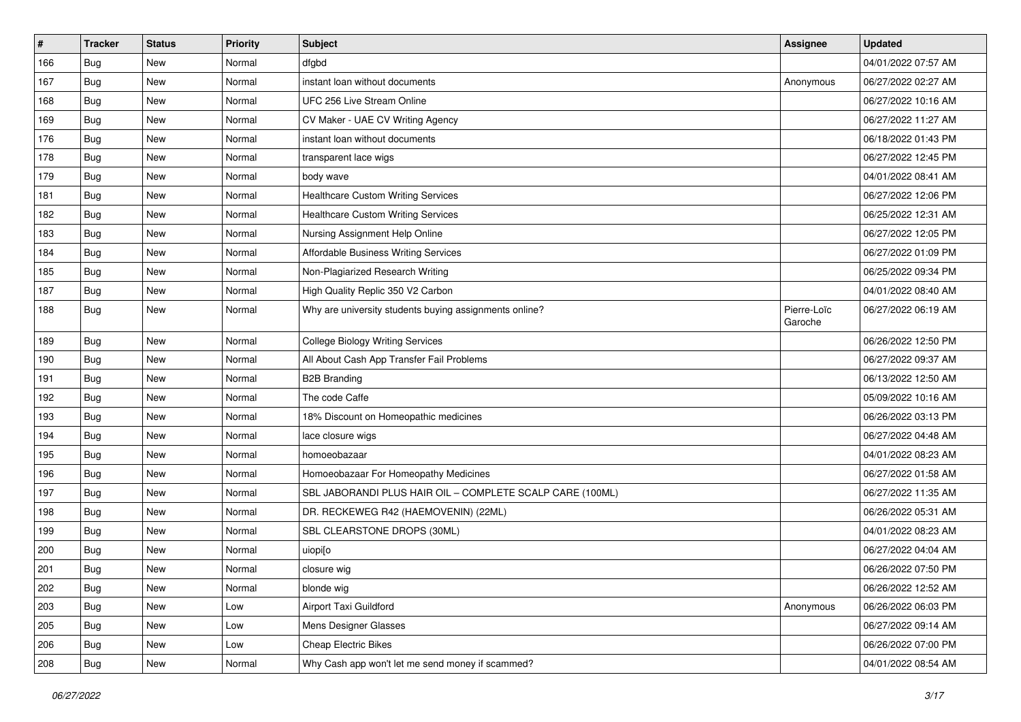| #   | <b>Tracker</b> | <b>Status</b> | Priority | <b>Subject</b>                                            | Assignee               | <b>Updated</b>      |
|-----|----------------|---------------|----------|-----------------------------------------------------------|------------------------|---------------------|
| 166 | Bug            | New           | Normal   | dfgbd                                                     |                        | 04/01/2022 07:57 AM |
| 167 | <b>Bug</b>     | <b>New</b>    | Normal   | instant loan without documents                            | Anonymous              | 06/27/2022 02:27 AM |
| 168 | <b>Bug</b>     | New           | Normal   | UFC 256 Live Stream Online                                |                        | 06/27/2022 10:16 AM |
| 169 | <b>Bug</b>     | New           | Normal   | CV Maker - UAE CV Writing Agency                          |                        | 06/27/2022 11:27 AM |
| 176 | <b>Bug</b>     | <b>New</b>    | Normal   | instant loan without documents                            |                        | 06/18/2022 01:43 PM |
| 178 | <b>Bug</b>     | New           | Normal   | transparent lace wigs                                     |                        | 06/27/2022 12:45 PM |
| 179 | <b>Bug</b>     | <b>New</b>    | Normal   | body wave                                                 |                        | 04/01/2022 08:41 AM |
| 181 | <b>Bug</b>     | New           | Normal   | <b>Healthcare Custom Writing Services</b>                 |                        | 06/27/2022 12:06 PM |
| 182 | Bug            | New           | Normal   | <b>Healthcare Custom Writing Services</b>                 |                        | 06/25/2022 12:31 AM |
| 183 | <b>Bug</b>     | <b>New</b>    | Normal   | Nursing Assignment Help Online                            |                        | 06/27/2022 12:05 PM |
| 184 | Bug            | New           | Normal   | Affordable Business Writing Services                      |                        | 06/27/2022 01:09 PM |
| 185 | <b>Bug</b>     | <b>New</b>    | Normal   | Non-Plagiarized Research Writing                          |                        | 06/25/2022 09:34 PM |
| 187 | Bug            | New           | Normal   | High Quality Replic 350 V2 Carbon                         |                        | 04/01/2022 08:40 AM |
| 188 | <b>Bug</b>     | New           | Normal   | Why are university students buying assignments online?    | Pierre-Loïc<br>Garoche | 06/27/2022 06:19 AM |
| 189 | <b>Bug</b>     | <b>New</b>    | Normal   | <b>College Biology Writing Services</b>                   |                        | 06/26/2022 12:50 PM |
| 190 | <b>Bug</b>     | New           | Normal   | All About Cash App Transfer Fail Problems                 |                        | 06/27/2022 09:37 AM |
| 191 | <b>Bug</b>     | <b>New</b>    | Normal   | <b>B2B Branding</b>                                       |                        | 06/13/2022 12:50 AM |
| 192 | <b>Bug</b>     | <b>New</b>    | Normal   | The code Caffe                                            |                        | 05/09/2022 10:16 AM |
| 193 | <b>Bug</b>     | <b>New</b>    | Normal   | 18% Discount on Homeopathic medicines                     |                        | 06/26/2022 03:13 PM |
| 194 | Bug            | New           | Normal   | lace closure wigs                                         |                        | 06/27/2022 04:48 AM |
| 195 | Bug            | New           | Normal   | homoeobazaar                                              |                        | 04/01/2022 08:23 AM |
| 196 | <b>Bug</b>     | <b>New</b>    | Normal   | Homoeobazaar For Homeopathy Medicines                     |                        | 06/27/2022 01:58 AM |
| 197 | Bug            | New           | Normal   | SBL JABORANDI PLUS HAIR OIL - COMPLETE SCALP CARE (100ML) |                        | 06/27/2022 11:35 AM |
| 198 | <b>Bug</b>     | <b>New</b>    | Normal   | DR. RECKEWEG R42 (HAEMOVENIN) (22ML)                      |                        | 06/26/2022 05:31 AM |
| 199 | Bug            | New           | Normal   | SBL CLEARSTONE DROPS (30ML)                               |                        | 04/01/2022 08:23 AM |
| 200 | <b>Bug</b>     | New           | Normal   | uiopi[o                                                   |                        | 06/27/2022 04:04 AM |
| 201 | <b>Bug</b>     | New           | Normal   | closure wig                                               |                        | 06/26/2022 07:50 PM |
| 202 | <b>Bug</b>     | New           | Normal   | blonde wig                                                |                        | 06/26/2022 12:52 AM |
| 203 | Bug            | New           | Low      | Airport Taxi Guildford                                    | Anonymous              | 06/26/2022 06:03 PM |
| 205 | <b>Bug</b>     | New           | Low      | Mens Designer Glasses                                     |                        | 06/27/2022 09:14 AM |
| 206 | <b>Bug</b>     | New           | Low      | <b>Cheap Electric Bikes</b>                               |                        | 06/26/2022 07:00 PM |
| 208 | <b>Bug</b>     | New           | Normal   | Why Cash app won't let me send money if scammed?          |                        | 04/01/2022 08:54 AM |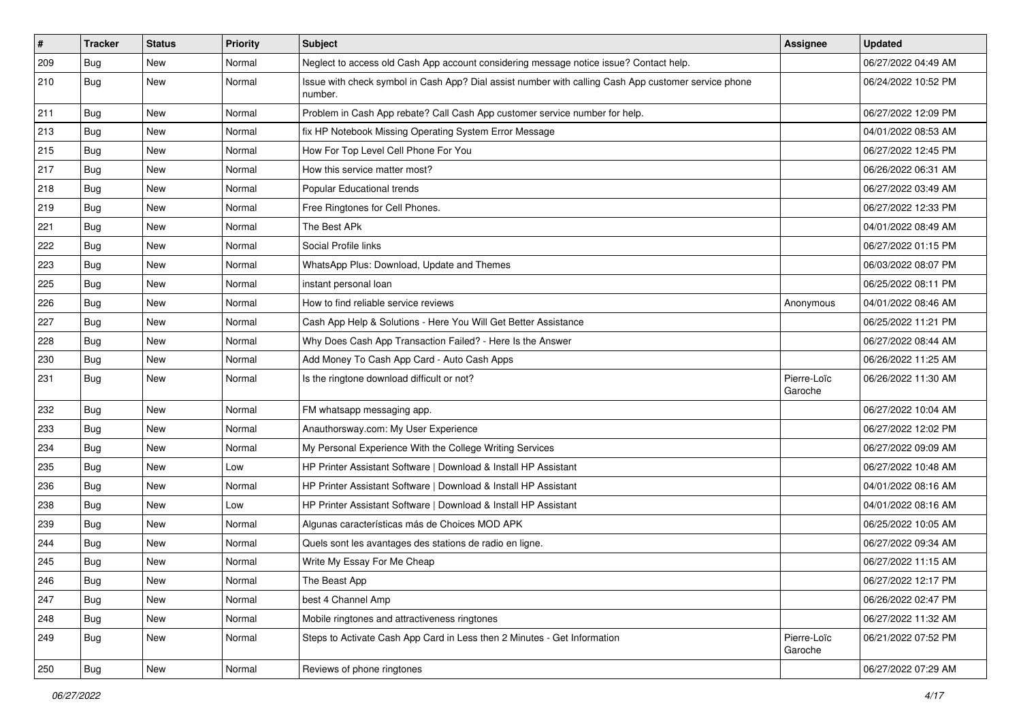| $\sharp$ | Tracker    | <b>Status</b> | <b>Priority</b> | <b>Subject</b>                                                                                                  | <b>Assignee</b>        | <b>Updated</b>      |
|----------|------------|---------------|-----------------|-----------------------------------------------------------------------------------------------------------------|------------------------|---------------------|
| 209      | <b>Bug</b> | New           | Normal          | Neglect to access old Cash App account considering message notice issue? Contact help.                          |                        | 06/27/2022 04:49 AM |
| 210      | <b>Bug</b> | New           | Normal          | Issue with check symbol in Cash App? Dial assist number with calling Cash App customer service phone<br>number. |                        | 06/24/2022 10:52 PM |
| 211      | <b>Bug</b> | <b>New</b>    | Normal          | Problem in Cash App rebate? Call Cash App customer service number for help.                                     |                        | 06/27/2022 12:09 PM |
| 213      | Bug        | New           | Normal          | fix HP Notebook Missing Operating System Error Message                                                          |                        | 04/01/2022 08:53 AM |
| 215      | <b>Bug</b> | New           | Normal          | How For Top Level Cell Phone For You                                                                            |                        | 06/27/2022 12:45 PM |
| 217      | <b>Bug</b> | New           | Normal          | How this service matter most?                                                                                   |                        | 06/26/2022 06:31 AM |
| 218      | Bug        | New           | Normal          | Popular Educational trends                                                                                      |                        | 06/27/2022 03:49 AM |
| 219      | <b>Bug</b> | New           | Normal          | Free Ringtones for Cell Phones.                                                                                 |                        | 06/27/2022 12:33 PM |
| 221      | Bug        | New           | Normal          | The Best APk                                                                                                    |                        | 04/01/2022 08:49 AM |
| 222      | <b>Bug</b> | New           | Normal          | Social Profile links                                                                                            |                        | 06/27/2022 01:15 PM |
| 223      | Bug        | New           | Normal          | WhatsApp Plus: Download, Update and Themes                                                                      |                        | 06/03/2022 08:07 PM |
| 225      | <b>Bug</b> | <b>New</b>    | Normal          | instant personal loan                                                                                           |                        | 06/25/2022 08:11 PM |
| 226      | <b>Bug</b> | New           | Normal          | How to find reliable service reviews                                                                            | Anonymous              | 04/01/2022 08:46 AM |
| 227      | <b>Bug</b> | <b>New</b>    | Normal          | Cash App Help & Solutions - Here You Will Get Better Assistance                                                 |                        | 06/25/2022 11:21 PM |
| 228      | Bug        | New           | Normal          | Why Does Cash App Transaction Failed? - Here Is the Answer                                                      |                        | 06/27/2022 08:44 AM |
| 230      | <b>Bug</b> | New           | Normal          | Add Money To Cash App Card - Auto Cash Apps                                                                     |                        | 06/26/2022 11:25 AM |
| 231      | <b>Bug</b> | New           | Normal          | Is the ringtone download difficult or not?                                                                      | Pierre-Loïc<br>Garoche | 06/26/2022 11:30 AM |
| 232      | <b>Bug</b> | <b>New</b>    | Normal          | FM whatsapp messaging app.                                                                                      |                        | 06/27/2022 10:04 AM |
| 233      | <b>Bug</b> | <b>New</b>    | Normal          | Anauthorsway.com: My User Experience                                                                            |                        | 06/27/2022 12:02 PM |
| 234      | <b>Bug</b> | New           | Normal          | My Personal Experience With the College Writing Services                                                        |                        | 06/27/2022 09:09 AM |
| 235      | <b>Bug</b> | <b>New</b>    | Low             | HP Printer Assistant Software   Download & Install HP Assistant                                                 |                        | 06/27/2022 10:48 AM |
| 236      | <b>Bug</b> | New           | Normal          | HP Printer Assistant Software   Download & Install HP Assistant                                                 |                        | 04/01/2022 08:16 AM |
| 238      | <b>Bug</b> | New           | Low             | HP Printer Assistant Software   Download & Install HP Assistant                                                 |                        | 04/01/2022 08:16 AM |
| 239      | <b>Bug</b> | <b>New</b>    | Normal          | Algunas características más de Choices MOD APK                                                                  |                        | 06/25/2022 10:05 AM |
| 244      | <b>Bug</b> | New           | Normal          | Quels sont les avantages des stations de radio en ligne.                                                        |                        | 06/27/2022 09:34 AM |
| 245      | <b>Bug</b> | <b>New</b>    | Normal          | Write My Essay For Me Cheap                                                                                     |                        | 06/27/2022 11:15 AM |
| 246      | <b>Bug</b> | New           | Normal          | The Beast App                                                                                                   |                        | 06/27/2022 12:17 PM |
| 247      | <b>Bug</b> | New           | Normal          | best 4 Channel Amp                                                                                              |                        | 06/26/2022 02:47 PM |
| 248      | <b>Bug</b> | New           | Normal          | Mobile ringtones and attractiveness ringtones                                                                   |                        | 06/27/2022 11:32 AM |
| 249      | <b>Bug</b> | New           | Normal          | Steps to Activate Cash App Card in Less then 2 Minutes - Get Information                                        | Pierre-Loïc<br>Garoche | 06/21/2022 07:52 PM |
| 250      | <b>Bug</b> | New           | Normal          | Reviews of phone ringtones                                                                                      |                        | 06/27/2022 07:29 AM |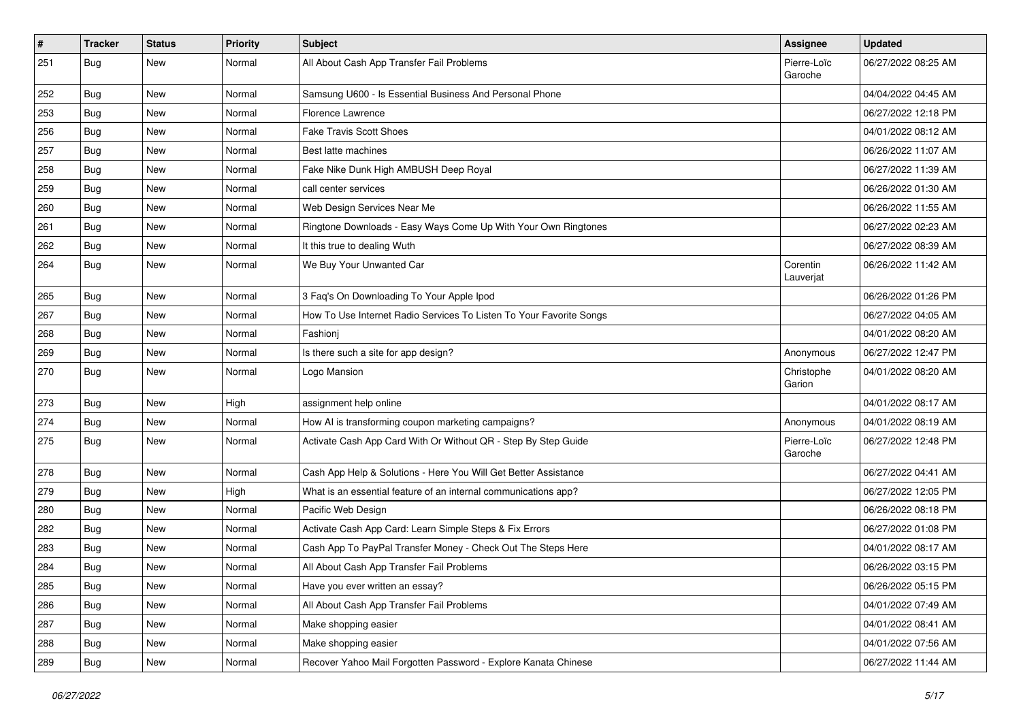| $\sharp$ | <b>Tracker</b> | <b>Status</b> | <b>Priority</b> | <b>Subject</b>                                                      | <b>Assignee</b>        | <b>Updated</b>      |
|----------|----------------|---------------|-----------------|---------------------------------------------------------------------|------------------------|---------------------|
| 251      | <b>Bug</b>     | New           | Normal          | All About Cash App Transfer Fail Problems                           | Pierre-Loïc<br>Garoche | 06/27/2022 08:25 AM |
| 252      | <b>Bug</b>     | New           | Normal          | Samsung U600 - Is Essential Business And Personal Phone             |                        | 04/04/2022 04:45 AM |
| 253      | <b>Bug</b>     | New           | Normal          | Florence Lawrence                                                   |                        | 06/27/2022 12:18 PM |
| 256      | <b>Bug</b>     | <b>New</b>    | Normal          | <b>Fake Travis Scott Shoes</b>                                      |                        | 04/01/2022 08:12 AM |
| 257      | <b>Bug</b>     | <b>New</b>    | Normal          | Best latte machines                                                 |                        | 06/26/2022 11:07 AM |
| 258      | <b>Bug</b>     | New           | Normal          | Fake Nike Dunk High AMBUSH Deep Royal                               |                        | 06/27/2022 11:39 AM |
| 259      | <b>Bug</b>     | New           | Normal          | call center services                                                |                        | 06/26/2022 01:30 AM |
| 260      | <b>Bug</b>     | New           | Normal          | Web Design Services Near Me                                         |                        | 06/26/2022 11:55 AM |
| 261      | <b>Bug</b>     | <b>New</b>    | Normal          | Ringtone Downloads - Easy Ways Come Up With Your Own Ringtones      |                        | 06/27/2022 02:23 AM |
| 262      | <b>Bug</b>     | New           | Normal          | It this true to dealing Wuth                                        |                        | 06/27/2022 08:39 AM |
| 264      | <b>Bug</b>     | New           | Normal          | We Buy Your Unwanted Car                                            | Corentin<br>Lauverjat  | 06/26/2022 11:42 AM |
| 265      | <b>Bug</b>     | <b>New</b>    | Normal          | 3 Faq's On Downloading To Your Apple Ipod                           |                        | 06/26/2022 01:26 PM |
| 267      | <b>Bug</b>     | New           | Normal          | How To Use Internet Radio Services To Listen To Your Favorite Songs |                        | 06/27/2022 04:05 AM |
| 268      | <b>Bug</b>     | New           | Normal          | Fashionj                                                            |                        | 04/01/2022 08:20 AM |
| 269      | <b>Bug</b>     | New           | Normal          | Is there such a site for app design?                                | Anonymous              | 06/27/2022 12:47 PM |
| 270      | <b>Bug</b>     | New           | Normal          | Logo Mansion                                                        | Christophe<br>Garion   | 04/01/2022 08:20 AM |
| 273      | <b>Bug</b>     | <b>New</b>    | High            | assignment help online                                              |                        | 04/01/2022 08:17 AM |
| 274      | <b>Bug</b>     | New           | Normal          | How AI is transforming coupon marketing campaigns?                  | Anonymous              | 04/01/2022 08:19 AM |
| 275      | Bug            | New           | Normal          | Activate Cash App Card With Or Without QR - Step By Step Guide      | Pierre-Loïc<br>Garoche | 06/27/2022 12:48 PM |
| 278      | <b>Bug</b>     | <b>New</b>    | Normal          | Cash App Help & Solutions - Here You Will Get Better Assistance     |                        | 06/27/2022 04:41 AM |
| 279      | <b>Bug</b>     | New           | High            | What is an essential feature of an internal communications app?     |                        | 06/27/2022 12:05 PM |
| 280      | <b>Bug</b>     | <b>New</b>    | Normal          | Pacific Web Design                                                  |                        | 06/26/2022 08:18 PM |
| 282      | <b>Bug</b>     | New           | Normal          | Activate Cash App Card: Learn Simple Steps & Fix Errors             |                        | 06/27/2022 01:08 PM |
| 283      | <b>Bug</b>     | New           | Normal          | Cash App To PayPal Transfer Money - Check Out The Steps Here        |                        | 04/01/2022 08:17 AM |
| 284      | Bug            | New           | Normal          | All About Cash App Transfer Fail Problems                           |                        | 06/26/2022 03:15 PM |
| 285      | <b>Bug</b>     | New           | Normal          | Have you ever written an essay?                                     |                        | 06/26/2022 05:15 PM |
| 286      | <b>Bug</b>     | New           | Normal          | All About Cash App Transfer Fail Problems                           |                        | 04/01/2022 07:49 AM |
| 287      | <b>Bug</b>     | New           | Normal          | Make shopping easier                                                |                        | 04/01/2022 08:41 AM |
| 288      | <b>Bug</b>     | New           | Normal          | Make shopping easier                                                |                        | 04/01/2022 07:56 AM |
| 289      | <b>Bug</b>     | New           | Normal          | Recover Yahoo Mail Forgotten Password - Explore Kanata Chinese      |                        | 06/27/2022 11:44 AM |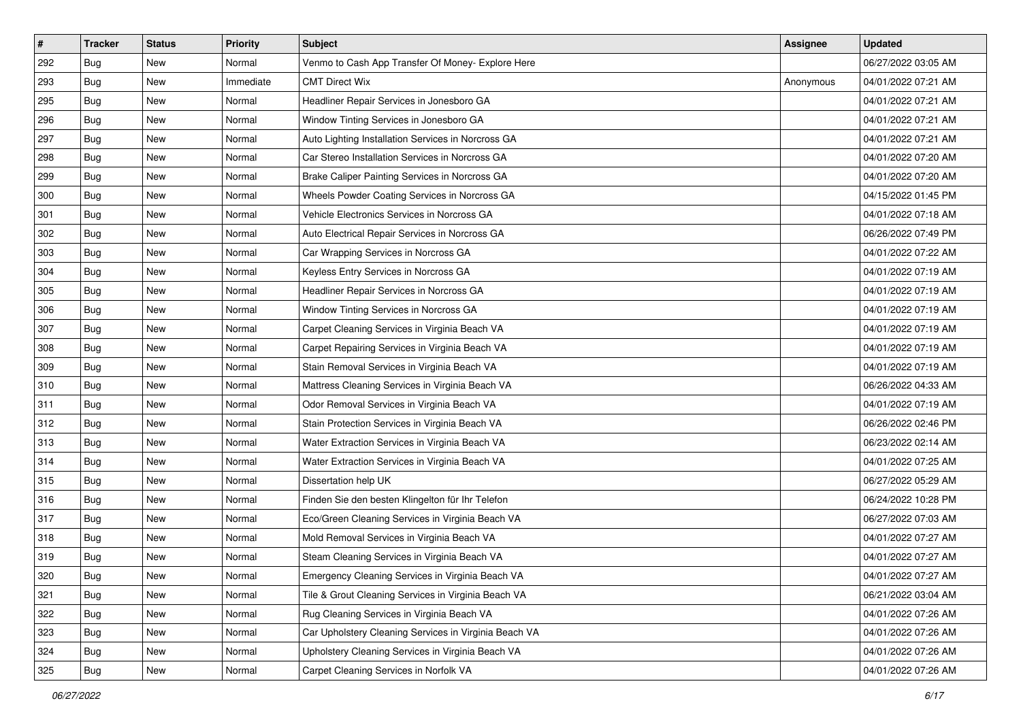| #   | <b>Tracker</b> | <b>Status</b> | <b>Priority</b> | Subject                                               | <b>Assignee</b> | <b>Updated</b>      |
|-----|----------------|---------------|-----------------|-------------------------------------------------------|-----------------|---------------------|
| 292 | <b>Bug</b>     | New           | Normal          | Venmo to Cash App Transfer Of Money- Explore Here     |                 | 06/27/2022 03:05 AM |
| 293 | Bug            | New           | Immediate       | <b>CMT Direct Wix</b>                                 | Anonymous       | 04/01/2022 07:21 AM |
| 295 | Bug            | New           | Normal          | Headliner Repair Services in Jonesboro GA             |                 | 04/01/2022 07:21 AM |
| 296 | Bug            | New           | Normal          | Window Tinting Services in Jonesboro GA               |                 | 04/01/2022 07:21 AM |
| 297 | <b>Bug</b>     | New           | Normal          | Auto Lighting Installation Services in Norcross GA    |                 | 04/01/2022 07:21 AM |
| 298 | Bug            | New           | Normal          | Car Stereo Installation Services in Norcross GA       |                 | 04/01/2022 07:20 AM |
| 299 | <b>Bug</b>     | New           | Normal          | Brake Caliper Painting Services in Norcross GA        |                 | 04/01/2022 07:20 AM |
| 300 | <b>Bug</b>     | New           | Normal          | Wheels Powder Coating Services in Norcross GA         |                 | 04/15/2022 01:45 PM |
| 301 | Bug            | New           | Normal          | Vehicle Electronics Services in Norcross GA           |                 | 04/01/2022 07:18 AM |
| 302 | <b>Bug</b>     | New           | Normal          | Auto Electrical Repair Services in Norcross GA        |                 | 06/26/2022 07:49 PM |
| 303 | Bug            | New           | Normal          | Car Wrapping Services in Norcross GA                  |                 | 04/01/2022 07:22 AM |
| 304 | Bug            | New           | Normal          | Keyless Entry Services in Norcross GA                 |                 | 04/01/2022 07:19 AM |
| 305 | <b>Bug</b>     | New           | Normal          | Headliner Repair Services in Norcross GA              |                 | 04/01/2022 07:19 AM |
| 306 | <b>Bug</b>     | New           | Normal          | Window Tinting Services in Norcross GA                |                 | 04/01/2022 07:19 AM |
| 307 | <b>Bug</b>     | New           | Normal          | Carpet Cleaning Services in Virginia Beach VA         |                 | 04/01/2022 07:19 AM |
| 308 | Bug            | New           | Normal          | Carpet Repairing Services in Virginia Beach VA        |                 | 04/01/2022 07:19 AM |
| 309 | Bug            | New           | Normal          | Stain Removal Services in Virginia Beach VA           |                 | 04/01/2022 07:19 AM |
| 310 | <b>Bug</b>     | New           | Normal          | Mattress Cleaning Services in Virginia Beach VA       |                 | 06/26/2022 04:33 AM |
| 311 | <b>Bug</b>     | New           | Normal          | Odor Removal Services in Virginia Beach VA            |                 | 04/01/2022 07:19 AM |
| 312 | Bug            | New           | Normal          | Stain Protection Services in Virginia Beach VA        |                 | 06/26/2022 02:46 PM |
| 313 | <b>Bug</b>     | New           | Normal          | Water Extraction Services in Virginia Beach VA        |                 | 06/23/2022 02:14 AM |
| 314 | Bug            | New           | Normal          | Water Extraction Services in Virginia Beach VA        |                 | 04/01/2022 07:25 AM |
| 315 | <b>Bug</b>     | New           | Normal          | Dissertation help UK                                  |                 | 06/27/2022 05:29 AM |
| 316 | <b>Bug</b>     | New           | Normal          | Finden Sie den besten Klingelton für Ihr Telefon      |                 | 06/24/2022 10:28 PM |
| 317 | Bug            | New           | Normal          | Eco/Green Cleaning Services in Virginia Beach VA      |                 | 06/27/2022 07:03 AM |
| 318 | Bug            | New           | Normal          | Mold Removal Services in Virginia Beach VA            |                 | 04/01/2022 07:27 AM |
| 319 | <b>Bug</b>     | New           | Normal          | Steam Cleaning Services in Virginia Beach VA          |                 | 04/01/2022 07:27 AM |
| 320 | <b>Bug</b>     | New           | Normal          | Emergency Cleaning Services in Virginia Beach VA      |                 | 04/01/2022 07:27 AM |
| 321 | Bug            | New           | Normal          | Tile & Grout Cleaning Services in Virginia Beach VA   |                 | 06/21/2022 03:04 AM |
| 322 | Bug            | New           | Normal          | Rug Cleaning Services in Virginia Beach VA            |                 | 04/01/2022 07:26 AM |
| 323 | Bug            | New           | Normal          | Car Upholstery Cleaning Services in Virginia Beach VA |                 | 04/01/2022 07:26 AM |
| 324 | <b>Bug</b>     | New           | Normal          | Upholstery Cleaning Services in Virginia Beach VA     |                 | 04/01/2022 07:26 AM |
| 325 | <b>Bug</b>     | New           | Normal          | Carpet Cleaning Services in Norfolk VA                |                 | 04/01/2022 07:26 AM |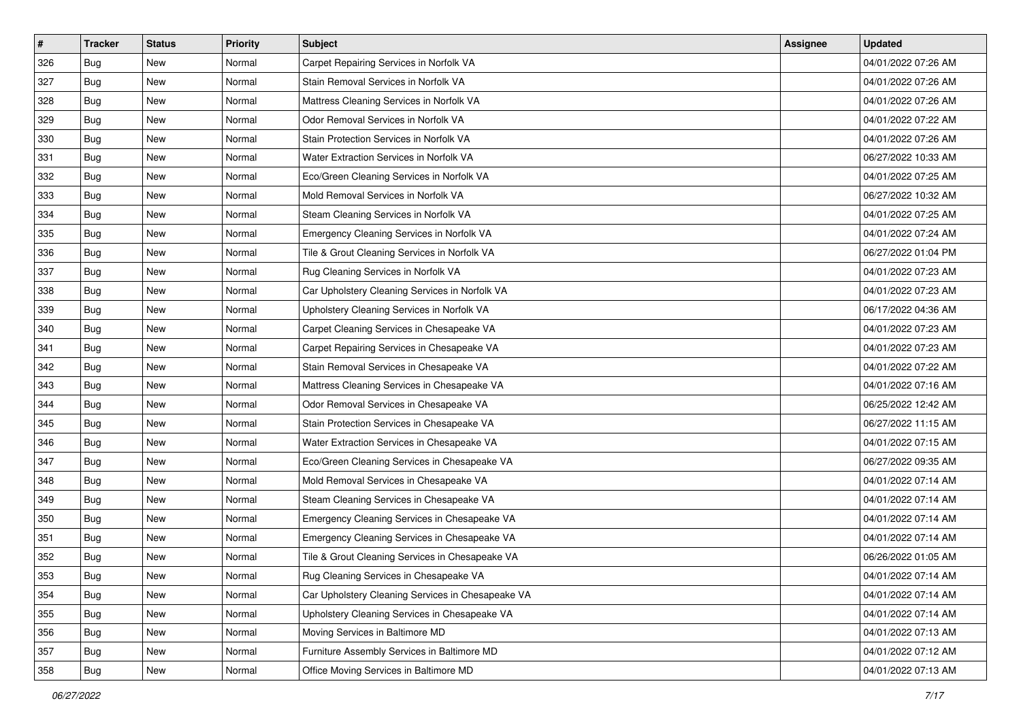| #   | <b>Tracker</b> | <b>Status</b> | <b>Priority</b> | Subject                                           | <b>Assignee</b> | <b>Updated</b>      |
|-----|----------------|---------------|-----------------|---------------------------------------------------|-----------------|---------------------|
| 326 | <b>Bug</b>     | New           | Normal          | Carpet Repairing Services in Norfolk VA           |                 | 04/01/2022 07:26 AM |
| 327 | <b>Bug</b>     | <b>New</b>    | Normal          | Stain Removal Services in Norfolk VA              |                 | 04/01/2022 07:26 AM |
| 328 | <b>Bug</b>     | New           | Normal          | Mattress Cleaning Services in Norfolk VA          |                 | 04/01/2022 07:26 AM |
| 329 | Bug            | <b>New</b>    | Normal          | Odor Removal Services in Norfolk VA               |                 | 04/01/2022 07:22 AM |
| 330 | <b>Bug</b>     | <b>New</b>    | Normal          | Stain Protection Services in Norfolk VA           |                 | 04/01/2022 07:26 AM |
| 331 | <b>Bug</b>     | <b>New</b>    | Normal          | Water Extraction Services in Norfolk VA           |                 | 06/27/2022 10:33 AM |
| 332 | <b>Bug</b>     | New           | Normal          | Eco/Green Cleaning Services in Norfolk VA         |                 | 04/01/2022 07:25 AM |
| 333 | <b>Bug</b>     | New           | Normal          | Mold Removal Services in Norfolk VA               |                 | 06/27/2022 10:32 AM |
| 334 | <b>Bug</b>     | New           | Normal          | Steam Cleaning Services in Norfolk VA             |                 | 04/01/2022 07:25 AM |
| 335 | <b>Bug</b>     | <b>New</b>    | Normal          | Emergency Cleaning Services in Norfolk VA         |                 | 04/01/2022 07:24 AM |
| 336 | <b>Bug</b>     | New           | Normal          | Tile & Grout Cleaning Services in Norfolk VA      |                 | 06/27/2022 01:04 PM |
| 337 | <b>Bug</b>     | New           | Normal          | Rug Cleaning Services in Norfolk VA               |                 | 04/01/2022 07:23 AM |
| 338 | <b>Bug</b>     | <b>New</b>    | Normal          | Car Upholstery Cleaning Services in Norfolk VA    |                 | 04/01/2022 07:23 AM |
| 339 | <b>Bug</b>     | New           | Normal          | Upholstery Cleaning Services in Norfolk VA        |                 | 06/17/2022 04:36 AM |
| 340 | <b>Bug</b>     | <b>New</b>    | Normal          | Carpet Cleaning Services in Chesapeake VA         |                 | 04/01/2022 07:23 AM |
| 341 | Bug            | New           | Normal          | Carpet Repairing Services in Chesapeake VA        |                 | 04/01/2022 07:23 AM |
| 342 | <b>Bug</b>     | <b>New</b>    | Normal          | Stain Removal Services in Chesapeake VA           |                 | 04/01/2022 07:22 AM |
| 343 | <b>Bug</b>     | New           | Normal          | Mattress Cleaning Services in Chesapeake VA       |                 | 04/01/2022 07:16 AM |
| 344 | <b>Bug</b>     | New           | Normal          | Odor Removal Services in Chesapeake VA            |                 | 06/25/2022 12:42 AM |
| 345 | <b>Bug</b>     | <b>New</b>    | Normal          | Stain Protection Services in Chesapeake VA        |                 | 06/27/2022 11:15 AM |
| 346 | <b>Bug</b>     | New           | Normal          | Water Extraction Services in Chesapeake VA        |                 | 04/01/2022 07:15 AM |
| 347 | <b>Bug</b>     | New           | Normal          | Eco/Green Cleaning Services in Chesapeake VA      |                 | 06/27/2022 09:35 AM |
| 348 | <b>Bug</b>     | <b>New</b>    | Normal          | Mold Removal Services in Chesapeake VA            |                 | 04/01/2022 07:14 AM |
| 349 | <b>Bug</b>     | New           | Normal          | Steam Cleaning Services in Chesapeake VA          |                 | 04/01/2022 07:14 AM |
| 350 | <b>Bug</b>     | New           | Normal          | Emergency Cleaning Services in Chesapeake VA      |                 | 04/01/2022 07:14 AM |
| 351 | Bug            | <b>New</b>    | Normal          | Emergency Cleaning Services in Chesapeake VA      |                 | 04/01/2022 07:14 AM |
| 352 | <b>Bug</b>     | New           | Normal          | Tile & Grout Cleaning Services in Chesapeake VA   |                 | 06/26/2022 01:05 AM |
| 353 | <b>Bug</b>     | New           | Normal          | Rug Cleaning Services in Chesapeake VA            |                 | 04/01/2022 07:14 AM |
| 354 | <b>Bug</b>     | New           | Normal          | Car Upholstery Cleaning Services in Chesapeake VA |                 | 04/01/2022 07:14 AM |
| 355 | Bug            | New           | Normal          | Upholstery Cleaning Services in Chesapeake VA     |                 | 04/01/2022 07:14 AM |
| 356 | <b>Bug</b>     | New           | Normal          | Moving Services in Baltimore MD                   |                 | 04/01/2022 07:13 AM |
| 357 | <b>Bug</b>     | New           | Normal          | Furniture Assembly Services in Baltimore MD       |                 | 04/01/2022 07:12 AM |
| 358 | <b>Bug</b>     | New           | Normal          | Office Moving Services in Baltimore MD            |                 | 04/01/2022 07:13 AM |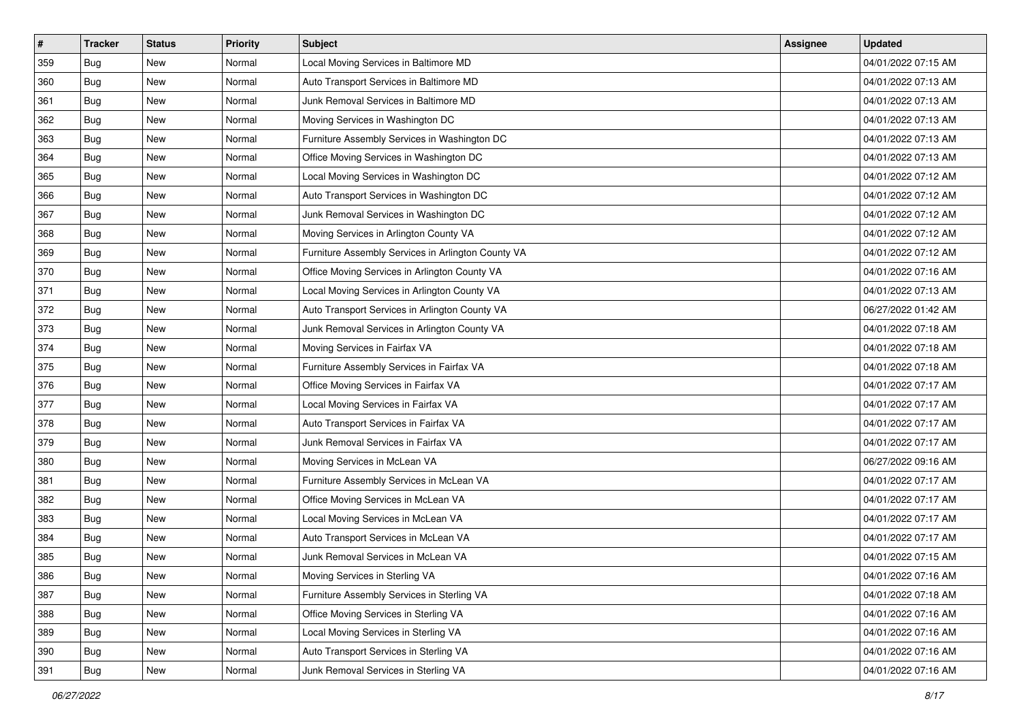| $\#$ | <b>Tracker</b> | <b>Status</b> | Priority | Subject                                            | <b>Assignee</b> | <b>Updated</b>      |
|------|----------------|---------------|----------|----------------------------------------------------|-----------------|---------------------|
| 359  | <b>Bug</b>     | New           | Normal   | Local Moving Services in Baltimore MD              |                 | 04/01/2022 07:15 AM |
| 360  | Bug            | New           | Normal   | Auto Transport Services in Baltimore MD            |                 | 04/01/2022 07:13 AM |
| 361  | <b>Bug</b>     | New           | Normal   | Junk Removal Services in Baltimore MD              |                 | 04/01/2022 07:13 AM |
| 362  | Bug            | New           | Normal   | Moving Services in Washington DC                   |                 | 04/01/2022 07:13 AM |
| 363  | <b>Bug</b>     | New           | Normal   | Furniture Assembly Services in Washington DC       |                 | 04/01/2022 07:13 AM |
| 364  | Bug            | New           | Normal   | Office Moving Services in Washington DC            |                 | 04/01/2022 07:13 AM |
| 365  | <b>Bug</b>     | New           | Normal   | Local Moving Services in Washington DC             |                 | 04/01/2022 07:12 AM |
| 366  | <b>Bug</b>     | New           | Normal   | Auto Transport Services in Washington DC           |                 | 04/01/2022 07:12 AM |
| 367  | <b>Bug</b>     | New           | Normal   | Junk Removal Services in Washington DC             |                 | 04/01/2022 07:12 AM |
| 368  | <b>Bug</b>     | New           | Normal   | Moving Services in Arlington County VA             |                 | 04/01/2022 07:12 AM |
| 369  | <b>Bug</b>     | New           | Normal   | Furniture Assembly Services in Arlington County VA |                 | 04/01/2022 07:12 AM |
| 370  | <b>Bug</b>     | New           | Normal   | Office Moving Services in Arlington County VA      |                 | 04/01/2022 07:16 AM |
| 371  | <b>Bug</b>     | New           | Normal   | Local Moving Services in Arlington County VA       |                 | 04/01/2022 07:13 AM |
| 372  | <b>Bug</b>     | New           | Normal   | Auto Transport Services in Arlington County VA     |                 | 06/27/2022 01:42 AM |
| 373  | <b>Bug</b>     | New           | Normal   | Junk Removal Services in Arlington County VA       |                 | 04/01/2022 07:18 AM |
| 374  | <b>Bug</b>     | New           | Normal   | Moving Services in Fairfax VA                      |                 | 04/01/2022 07:18 AM |
| 375  | Bug            | New           | Normal   | Furniture Assembly Services in Fairfax VA          |                 | 04/01/2022 07:18 AM |
| 376  | <b>Bug</b>     | New           | Normal   | Office Moving Services in Fairfax VA               |                 | 04/01/2022 07:17 AM |
| 377  | <b>Bug</b>     | New           | Normal   | Local Moving Services in Fairfax VA                |                 | 04/01/2022 07:17 AM |
| 378  | <b>Bug</b>     | New           | Normal   | Auto Transport Services in Fairfax VA              |                 | 04/01/2022 07:17 AM |
| 379  | <b>Bug</b>     | New           | Normal   | Junk Removal Services in Fairfax VA                |                 | 04/01/2022 07:17 AM |
| 380  | Bug            | New           | Normal   | Moving Services in McLean VA                       |                 | 06/27/2022 09:16 AM |
| 381  | Bug            | New           | Normal   | Furniture Assembly Services in McLean VA           |                 | 04/01/2022 07:17 AM |
| 382  | <b>Bug</b>     | New           | Normal   | Office Moving Services in McLean VA                |                 | 04/01/2022 07:17 AM |
| 383  | <b>Bug</b>     | New           | Normal   | Local Moving Services in McLean VA                 |                 | 04/01/2022 07:17 AM |
| 384  | Bug            | New           | Normal   | Auto Transport Services in McLean VA               |                 | 04/01/2022 07:17 AM |
| 385  | <b>Bug</b>     | New           | Normal   | Junk Removal Services in McLean VA                 |                 | 04/01/2022 07:15 AM |
| 386  | <b>Bug</b>     | New           | Normal   | Moving Services in Sterling VA                     |                 | 04/01/2022 07:16 AM |
| 387  | <b>Bug</b>     | New           | Normal   | Furniture Assembly Services in Sterling VA         |                 | 04/01/2022 07:18 AM |
| 388  | Bug            | New           | Normal   | Office Moving Services in Sterling VA              |                 | 04/01/2022 07:16 AM |
| 389  | <b>Bug</b>     | New           | Normal   | Local Moving Services in Sterling VA               |                 | 04/01/2022 07:16 AM |
| 390  | <b>Bug</b>     | New           | Normal   | Auto Transport Services in Sterling VA             |                 | 04/01/2022 07:16 AM |
| 391  | <b>Bug</b>     | New           | Normal   | Junk Removal Services in Sterling VA               |                 | 04/01/2022 07:16 AM |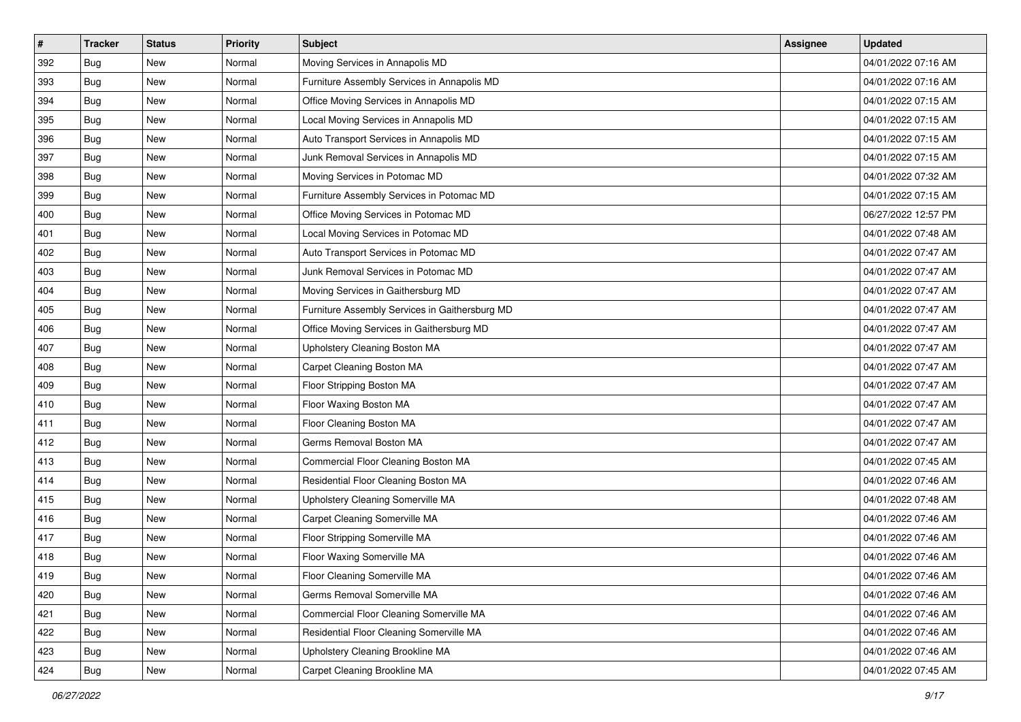| #   | <b>Tracker</b> | <b>Status</b> | <b>Priority</b> | <b>Subject</b>                                 | Assignee | <b>Updated</b>      |
|-----|----------------|---------------|-----------------|------------------------------------------------|----------|---------------------|
| 392 | <b>Bug</b>     | New           | Normal          | Moving Services in Annapolis MD                |          | 04/01/2022 07:16 AM |
| 393 | <b>Bug</b>     | <b>New</b>    | Normal          | Furniture Assembly Services in Annapolis MD    |          | 04/01/2022 07:16 AM |
| 394 | <b>Bug</b>     | New           | Normal          | Office Moving Services in Annapolis MD         |          | 04/01/2022 07:15 AM |
| 395 | Bug            | New           | Normal          | Local Moving Services in Annapolis MD          |          | 04/01/2022 07:15 AM |
| 396 | <b>Bug</b>     | New           | Normal          | Auto Transport Services in Annapolis MD        |          | 04/01/2022 07:15 AM |
| 397 | <b>Bug</b>     | New           | Normal          | Junk Removal Services in Annapolis MD          |          | 04/01/2022 07:15 AM |
| 398 | <b>Bug</b>     | <b>New</b>    | Normal          | Moving Services in Potomac MD                  |          | 04/01/2022 07:32 AM |
| 399 | <b>Bug</b>     | New           | Normal          | Furniture Assembly Services in Potomac MD      |          | 04/01/2022 07:15 AM |
| 400 | Bug            | New           | Normal          | Office Moving Services in Potomac MD           |          | 06/27/2022 12:57 PM |
| 401 | <b>Bug</b>     | <b>New</b>    | Normal          | Local Moving Services in Potomac MD            |          | 04/01/2022 07:48 AM |
| 402 | <b>Bug</b>     | New           | Normal          | Auto Transport Services in Potomac MD          |          | 04/01/2022 07:47 AM |
| 403 | Bug            | New           | Normal          | Junk Removal Services in Potomac MD            |          | 04/01/2022 07:47 AM |
| 404 | <b>Bug</b>     | New           | Normal          | Moving Services in Gaithersburg MD             |          | 04/01/2022 07:47 AM |
| 405 | <b>Bug</b>     | New           | Normal          | Furniture Assembly Services in Gaithersburg MD |          | 04/01/2022 07:47 AM |
| 406 | <b>Bug</b>     | New           | Normal          | Office Moving Services in Gaithersburg MD      |          | 04/01/2022 07:47 AM |
| 407 | <b>Bug</b>     | New           | Normal          | Upholstery Cleaning Boston MA                  |          | 04/01/2022 07:47 AM |
| 408 | Bug            | New           | Normal          | Carpet Cleaning Boston MA                      |          | 04/01/2022 07:47 AM |
| 409 | <b>Bug</b>     | New           | Normal          | Floor Stripping Boston MA                      |          | 04/01/2022 07:47 AM |
| 410 | <b>Bug</b>     | New           | Normal          | Floor Waxing Boston MA                         |          | 04/01/2022 07:47 AM |
| 411 | <b>Bug</b>     | <b>New</b>    | Normal          | Floor Cleaning Boston MA                       |          | 04/01/2022 07:47 AM |
| 412 | <b>Bug</b>     | New           | Normal          | Germs Removal Boston MA                        |          | 04/01/2022 07:47 AM |
| 413 | Bug            | New           | Normal          | Commercial Floor Cleaning Boston MA            |          | 04/01/2022 07:45 AM |
| 414 | <b>Bug</b>     | <b>New</b>    | Normal          | Residential Floor Cleaning Boston MA           |          | 04/01/2022 07:46 AM |
| 415 | <b>Bug</b>     | New           | Normal          | Upholstery Cleaning Somerville MA              |          | 04/01/2022 07:48 AM |
| 416 | <b>Bug</b>     | New           | Normal          | Carpet Cleaning Somerville MA                  |          | 04/01/2022 07:46 AM |
| 417 | Bug            | New           | Normal          | Floor Stripping Somerville MA                  |          | 04/01/2022 07:46 AM |
| 418 | Bug            | New           | Normal          | Floor Waxing Somerville MA                     |          | 04/01/2022 07:46 AM |
| 419 | <b>Bug</b>     | <b>New</b>    | Normal          | Floor Cleaning Somerville MA                   |          | 04/01/2022 07:46 AM |
| 420 | <b>Bug</b>     | New           | Normal          | Germs Removal Somerville MA                    |          | 04/01/2022 07:46 AM |
| 421 | <b>Bug</b>     | New           | Normal          | Commercial Floor Cleaning Somerville MA        |          | 04/01/2022 07:46 AM |
| 422 | <b>Bug</b>     | New           | Normal          | Residential Floor Cleaning Somerville MA       |          | 04/01/2022 07:46 AM |
| 423 | <b>Bug</b>     | New           | Normal          | Upholstery Cleaning Brookline MA               |          | 04/01/2022 07:46 AM |
| 424 | <b>Bug</b>     | New           | Normal          | Carpet Cleaning Brookline MA                   |          | 04/01/2022 07:45 AM |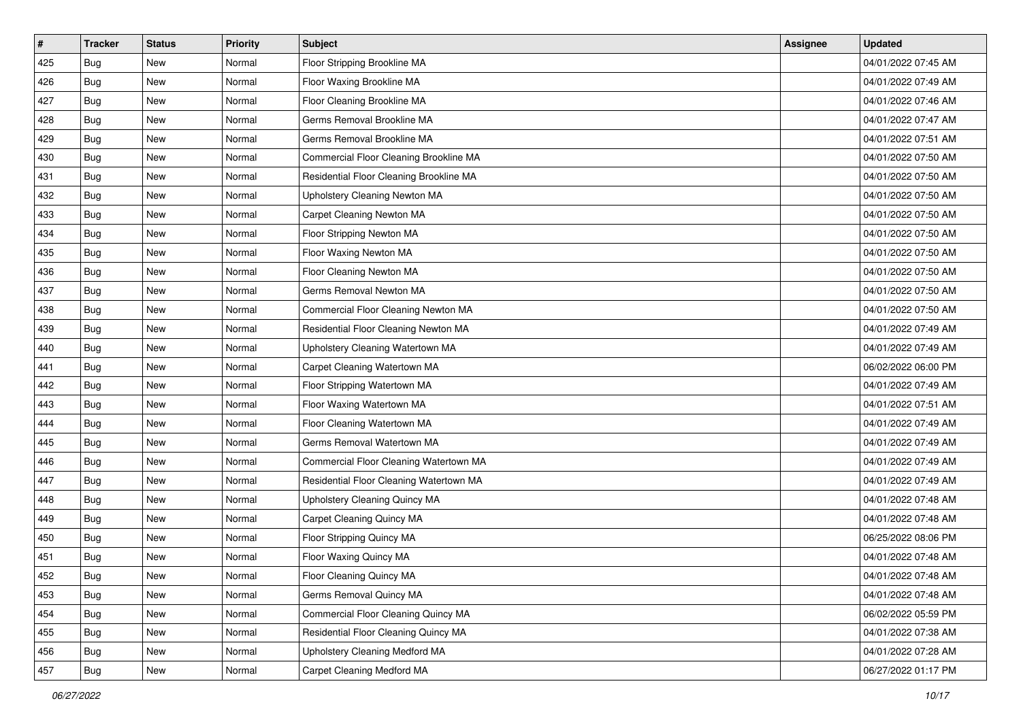| #   | <b>Tracker</b> | <b>Status</b> | <b>Priority</b> | <b>Subject</b>                          | Assignee | <b>Updated</b>      |
|-----|----------------|---------------|-----------------|-----------------------------------------|----------|---------------------|
| 425 | <b>Bug</b>     | New           | Normal          | Floor Stripping Brookline MA            |          | 04/01/2022 07:45 AM |
| 426 | <b>Bug</b>     | <b>New</b>    | Normal          | Floor Waxing Brookline MA               |          | 04/01/2022 07:49 AM |
| 427 | <b>Bug</b>     | New           | Normal          | Floor Cleaning Brookline MA             |          | 04/01/2022 07:46 AM |
| 428 | Bug            | New           | Normal          | Germs Removal Brookline MA              |          | 04/01/2022 07:47 AM |
| 429 | <b>Bug</b>     | <b>New</b>    | Normal          | Germs Removal Brookline MA              |          | 04/01/2022 07:51 AM |
| 430 | <b>Bug</b>     | New           | Normal          | Commercial Floor Cleaning Brookline MA  |          | 04/01/2022 07:50 AM |
| 431 | <b>Bug</b>     | New           | Normal          | Residential Floor Cleaning Brookline MA |          | 04/01/2022 07:50 AM |
| 432 | <b>Bug</b>     | New           | Normal          | Upholstery Cleaning Newton MA           |          | 04/01/2022 07:50 AM |
| 433 | Bug            | New           | Normal          | Carpet Cleaning Newton MA               |          | 04/01/2022 07:50 AM |
| 434 | <b>Bug</b>     | <b>New</b>    | Normal          | Floor Stripping Newton MA               |          | 04/01/2022 07:50 AM |
| 435 | <b>Bug</b>     | New           | Normal          | Floor Waxing Newton MA                  |          | 04/01/2022 07:50 AM |
| 436 | <b>Bug</b>     | New           | Normal          | Floor Cleaning Newton MA                |          | 04/01/2022 07:50 AM |
| 437 | <b>Bug</b>     | New           | Normal          | Germs Removal Newton MA                 |          | 04/01/2022 07:50 AM |
| 438 | <b>Bug</b>     | <b>New</b>    | Normal          | Commercial Floor Cleaning Newton MA     |          | 04/01/2022 07:50 AM |
| 439 | <b>Bug</b>     | New           | Normal          | Residential Floor Cleaning Newton MA    |          | 04/01/2022 07:49 AM |
| 440 | <b>Bug</b>     | New           | Normal          | Upholstery Cleaning Watertown MA        |          | 04/01/2022 07:49 AM |
| 441 | Bug            | New           | Normal          | Carpet Cleaning Watertown MA            |          | 06/02/2022 06:00 PM |
| 442 | <b>Bug</b>     | New           | Normal          | Floor Stripping Watertown MA            |          | 04/01/2022 07:49 AM |
| 443 | <b>Bug</b>     | New           | Normal          | Floor Waxing Watertown MA               |          | 04/01/2022 07:51 AM |
| 444 | <b>Bug</b>     | <b>New</b>    | Normal          | Floor Cleaning Watertown MA             |          | 04/01/2022 07:49 AM |
| 445 | <b>Bug</b>     | New           | Normal          | Germs Removal Watertown MA              |          | 04/01/2022 07:49 AM |
| 446 | Bug            | New           | Normal          | Commercial Floor Cleaning Watertown MA  |          | 04/01/2022 07:49 AM |
| 447 | <b>Bug</b>     | <b>New</b>    | Normal          | Residential Floor Cleaning Watertown MA |          | 04/01/2022 07:49 AM |
| 448 | <b>Bug</b>     | New           | Normal          | Upholstery Cleaning Quincy MA           |          | 04/01/2022 07:48 AM |
| 449 | <b>Bug</b>     | New           | Normal          | Carpet Cleaning Quincy MA               |          | 04/01/2022 07:48 AM |
| 450 | Bug            | New           | Normal          | Floor Stripping Quincy MA               |          | 06/25/2022 08:06 PM |
| 451 | <b>Bug</b>     | New           | Normal          | Floor Waxing Quincy MA                  |          | 04/01/2022 07:48 AM |
| 452 | <b>Bug</b>     | <b>New</b>    | Normal          | Floor Cleaning Quincy MA                |          | 04/01/2022 07:48 AM |
| 453 | <b>Bug</b>     | New           | Normal          | Germs Removal Quincy MA                 |          | 04/01/2022 07:48 AM |
| 454 | <b>Bug</b>     | New           | Normal          | Commercial Floor Cleaning Quincy MA     |          | 06/02/2022 05:59 PM |
| 455 | <b>Bug</b>     | New           | Normal          | Residential Floor Cleaning Quincy MA    |          | 04/01/2022 07:38 AM |
| 456 | <b>Bug</b>     | New           | Normal          | Upholstery Cleaning Medford MA          |          | 04/01/2022 07:28 AM |
| 457 | Bug            | New           | Normal          | Carpet Cleaning Medford MA              |          | 06/27/2022 01:17 PM |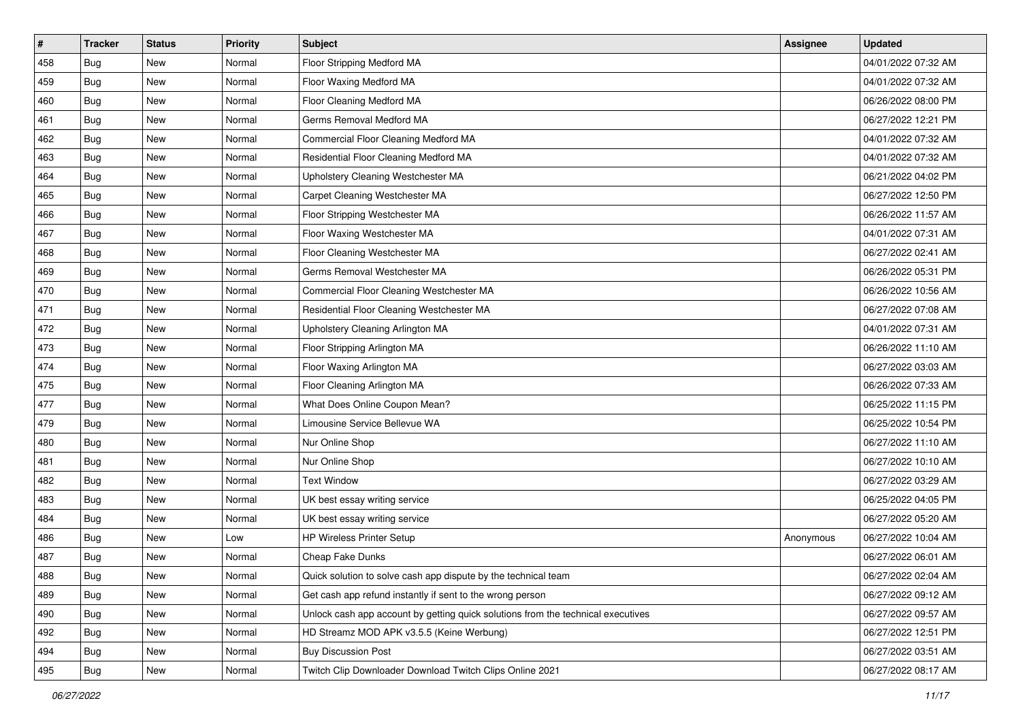| #   | <b>Tracker</b> | <b>Status</b> | <b>Priority</b> | <b>Subject</b>                                                                   | Assignee  | <b>Updated</b>      |
|-----|----------------|---------------|-----------------|----------------------------------------------------------------------------------|-----------|---------------------|
| 458 | <b>Bug</b>     | New           | Normal          | Floor Stripping Medford MA                                                       |           | 04/01/2022 07:32 AM |
| 459 | <b>Bug</b>     | <b>New</b>    | Normal          | Floor Waxing Medford MA                                                          |           | 04/01/2022 07:32 AM |
| 460 | Bug            | New           | Normal          | Floor Cleaning Medford MA                                                        |           | 06/26/2022 08:00 PM |
| 461 | <b>Bug</b>     | New           | Normal          | Germs Removal Medford MA                                                         |           | 06/27/2022 12:21 PM |
| 462 | <b>Bug</b>     | New           | Normal          | Commercial Floor Cleaning Medford MA                                             |           | 04/01/2022 07:32 AM |
| 463 | <b>Bug</b>     | New           | Normal          | Residential Floor Cleaning Medford MA                                            |           | 04/01/2022 07:32 AM |
| 464 | <b>Bug</b>     | <b>New</b>    | Normal          | Upholstery Cleaning Westchester MA                                               |           | 06/21/2022 04:02 PM |
| 465 | Bug            | New           | Normal          | Carpet Cleaning Westchester MA                                                   |           | 06/27/2022 12:50 PM |
| 466 | Bug            | New           | Normal          | Floor Stripping Westchester MA                                                   |           | 06/26/2022 11:57 AM |
| 467 | <b>Bug</b>     | <b>New</b>    | Normal          | Floor Waxing Westchester MA                                                      |           | 04/01/2022 07:31 AM |
| 468 | <b>Bug</b>     | New           | Normal          | Floor Cleaning Westchester MA                                                    |           | 06/27/2022 02:41 AM |
| 469 | Bug            | New           | Normal          | Germs Removal Westchester MA                                                     |           | 06/26/2022 05:31 PM |
| 470 | Bug            | New           | Normal          | Commercial Floor Cleaning Westchester MA                                         |           | 06/26/2022 10:56 AM |
| 471 | Bug            | New           | Normal          | Residential Floor Cleaning Westchester MA                                        |           | 06/27/2022 07:08 AM |
| 472 | <b>Bug</b>     | New           | Normal          | Upholstery Cleaning Arlington MA                                                 |           | 04/01/2022 07:31 AM |
| 473 | Bug            | New           | Normal          | Floor Stripping Arlington MA                                                     |           | 06/26/2022 11:10 AM |
| 474 | Bug            | New           | Normal          | Floor Waxing Arlington MA                                                        |           | 06/27/2022 03:03 AM |
| 475 | <b>Bug</b>     | New           | Normal          | Floor Cleaning Arlington MA                                                      |           | 06/26/2022 07:33 AM |
| 477 | Bug            | New           | Normal          | What Does Online Coupon Mean?                                                    |           | 06/25/2022 11:15 PM |
| 479 | <b>Bug</b>     | <b>New</b>    | Normal          | Limousine Service Bellevue WA                                                    |           | 06/25/2022 10:54 PM |
| 480 | Bug            | New           | Normal          | Nur Online Shop                                                                  |           | 06/27/2022 11:10 AM |
| 481 | Bug            | New           | Normal          | Nur Online Shop                                                                  |           | 06/27/2022 10:10 AM |
| 482 | <b>Bug</b>     | <b>New</b>    | Normal          | <b>Text Window</b>                                                               |           | 06/27/2022 03:29 AM |
| 483 | <b>Bug</b>     | New           | Normal          | UK best essay writing service                                                    |           | 06/25/2022 04:05 PM |
| 484 | Bug            | New           | Normal          | UK best essay writing service                                                    |           | 06/27/2022 05:20 AM |
| 486 | Bug            | New           | Low             | HP Wireless Printer Setup                                                        | Anonymous | 06/27/2022 10:04 AM |
| 487 | <b>Bug</b>     | New           | Normal          | Cheap Fake Dunks                                                                 |           | 06/27/2022 06:01 AM |
| 488 | <b>Bug</b>     | <b>New</b>    | Normal          | Quick solution to solve cash app dispute by the technical team                   |           | 06/27/2022 02:04 AM |
| 489 | Bug            | New           | Normal          | Get cash app refund instantly if sent to the wrong person                        |           | 06/27/2022 09:12 AM |
| 490 | <b>Bug</b>     | New           | Normal          | Unlock cash app account by getting quick solutions from the technical executives |           | 06/27/2022 09:57 AM |
| 492 | <b>Bug</b>     | New           | Normal          | HD Streamz MOD APK v3.5.5 (Keine Werbung)                                        |           | 06/27/2022 12:51 PM |
| 494 | <b>Bug</b>     | New           | Normal          | <b>Buy Discussion Post</b>                                                       |           | 06/27/2022 03:51 AM |
| 495 | Bug            | New           | Normal          | Twitch Clip Downloader Download Twitch Clips Online 2021                         |           | 06/27/2022 08:17 AM |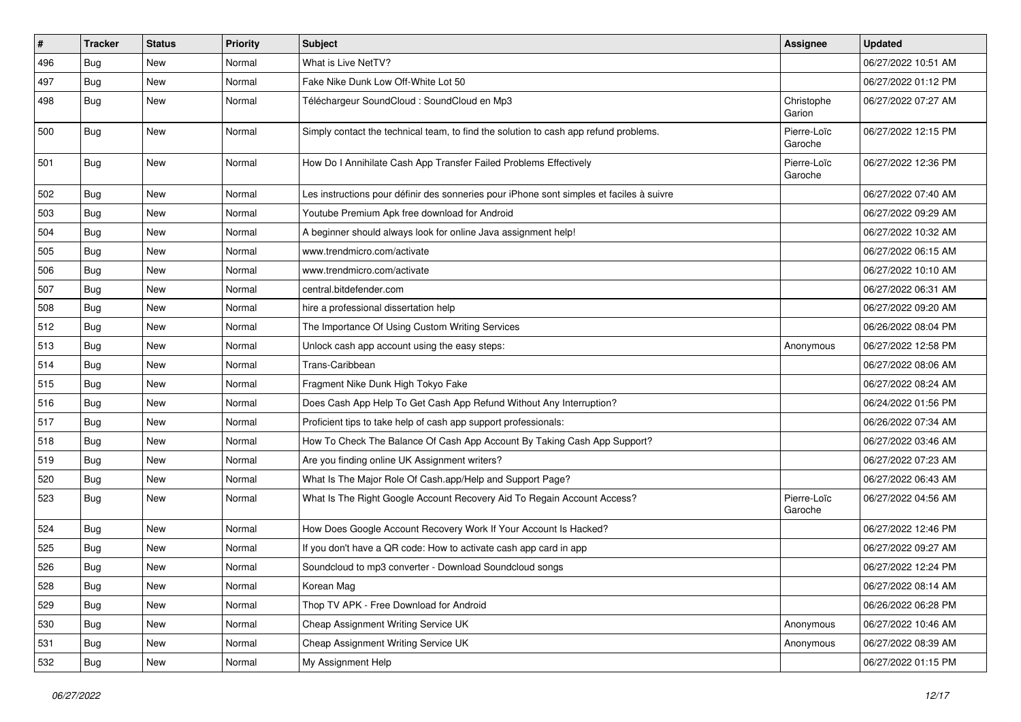| #   | Tracker    | <b>Status</b> | <b>Priority</b> | <b>Subject</b>                                                                           | <b>Assignee</b>        | <b>Updated</b>      |
|-----|------------|---------------|-----------------|------------------------------------------------------------------------------------------|------------------------|---------------------|
| 496 | <b>Bug</b> | New           | Normal          | What is Live NetTV?                                                                      |                        | 06/27/2022 10:51 AM |
| 497 | Bug        | <b>New</b>    | Normal          | Fake Nike Dunk Low Off-White Lot 50                                                      |                        | 06/27/2022 01:12 PM |
| 498 | <b>Bug</b> | New           | Normal          | Téléchargeur SoundCloud : SoundCloud en Mp3                                              | Christophe<br>Garion   | 06/27/2022 07:27 AM |
| 500 | <b>Bug</b> | <b>New</b>    | Normal          | Simply contact the technical team, to find the solution to cash app refund problems.     | Pierre-Loïc<br>Garoche | 06/27/2022 12:15 PM |
| 501 | <b>Bug</b> | New           | Normal          | How Do I Annihilate Cash App Transfer Failed Problems Effectively                        | Pierre-Loïc<br>Garoche | 06/27/2022 12:36 PM |
| 502 | <b>Bug</b> | New           | Normal          | Les instructions pour définir des sonneries pour iPhone sont simples et faciles à suivre |                        | 06/27/2022 07:40 AM |
| 503 | <b>Bug</b> | New           | Normal          | Youtube Premium Apk free download for Android                                            |                        | 06/27/2022 09:29 AM |
| 504 | <b>Bug</b> | New           | Normal          | A beginner should always look for online Java assignment help!                           |                        | 06/27/2022 10:32 AM |
| 505 | <b>Bug</b> | New           | Normal          | www.trendmicro.com/activate                                                              |                        | 06/27/2022 06:15 AM |
| 506 | <b>Bug</b> | New           | Normal          | www.trendmicro.com/activate                                                              |                        | 06/27/2022 10:10 AM |
| 507 | <b>Bug</b> | New           | Normal          | central.bitdefender.com                                                                  |                        | 06/27/2022 06:31 AM |
| 508 | <b>Bug</b> | <b>New</b>    | Normal          | hire a professional dissertation help                                                    |                        | 06/27/2022 09:20 AM |
| 512 | <b>Bug</b> | New           | Normal          | The Importance Of Using Custom Writing Services                                          |                        | 06/26/2022 08:04 PM |
| 513 | <b>Bug</b> | New           | Normal          | Unlock cash app account using the easy steps:                                            | Anonymous              | 06/27/2022 12:58 PM |
| 514 | <b>Bug</b> | <b>New</b>    | Normal          | Trans-Caribbean                                                                          |                        | 06/27/2022 08:06 AM |
| 515 | <b>Bug</b> | New           | Normal          | Fragment Nike Dunk High Tokyo Fake                                                       |                        | 06/27/2022 08:24 AM |
| 516 | Bug        | New           | Normal          | Does Cash App Help To Get Cash App Refund Without Any Interruption?                      |                        | 06/24/2022 01:56 PM |
| 517 | <b>Bug</b> | New           | Normal          | Proficient tips to take help of cash app support professionals:                          |                        | 06/26/2022 07:34 AM |
| 518 | <b>Bug</b> | New           | Normal          | How To Check The Balance Of Cash App Account By Taking Cash App Support?                 |                        | 06/27/2022 03:46 AM |
| 519 | <b>Bug</b> | New           | Normal          | Are you finding online UK Assignment writers?                                            |                        | 06/27/2022 07:23 AM |
| 520 | <b>Bug</b> | New           | Normal          | What Is The Major Role Of Cash.app/Help and Support Page?                                |                        | 06/27/2022 06:43 AM |
| 523 | Bug        | New           | Normal          | What Is The Right Google Account Recovery Aid To Regain Account Access?                  | Pierre-Loïc<br>Garoche | 06/27/2022 04:56 AM |
| 524 | <b>Bug</b> | New           | Normal          | How Does Google Account Recovery Work If Your Account Is Hacked?                         |                        | 06/27/2022 12:46 PM |
| 525 | Bug        | New           | Normal          | If you don't have a QR code: How to activate cash app card in app                        |                        | 06/27/2022 09:27 AM |
| 526 | <b>Bug</b> | New           | Normal          | Soundcloud to mp3 converter - Download Soundcloud songs                                  |                        | 06/27/2022 12:24 PM |
| 528 | Bug        | New           | Normal          | Korean Mag                                                                               |                        | 06/27/2022 08:14 AM |
| 529 | <b>Bug</b> | New           | Normal          | Thop TV APK - Free Download for Android                                                  |                        | 06/26/2022 06:28 PM |
| 530 | <b>Bug</b> | New           | Normal          | Cheap Assignment Writing Service UK                                                      | Anonymous              | 06/27/2022 10:46 AM |
| 531 | <b>Bug</b> | New           | Normal          | Cheap Assignment Writing Service UK                                                      | Anonymous              | 06/27/2022 08:39 AM |
| 532 | <b>Bug</b> | New           | Normal          | My Assignment Help                                                                       |                        | 06/27/2022 01:15 PM |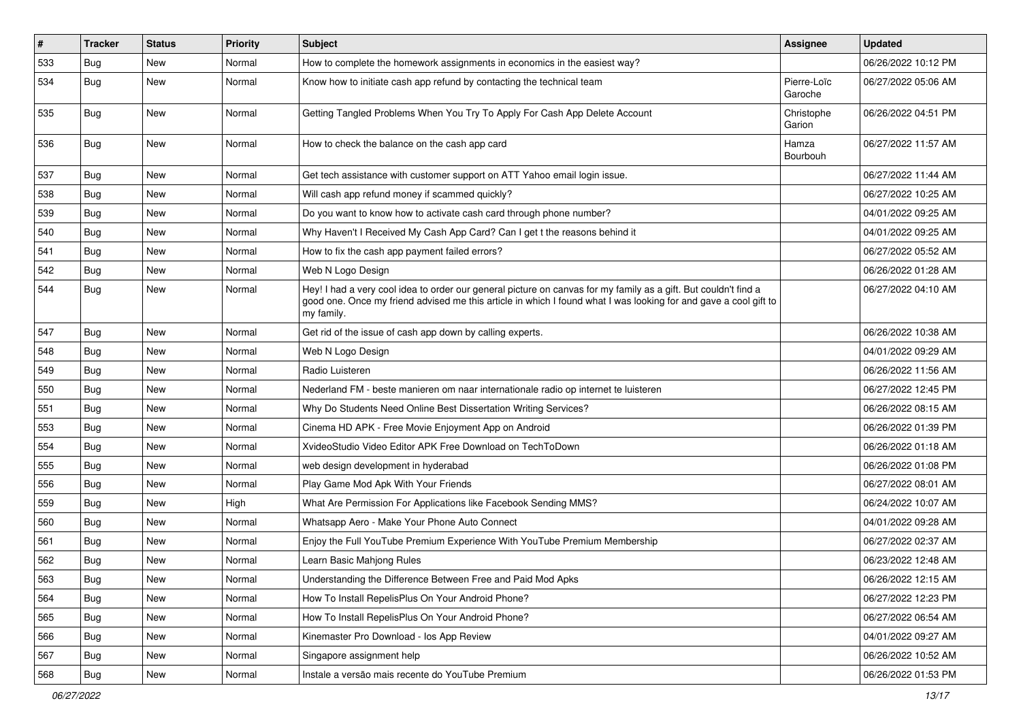| $\#$ | Tracker    | <b>Status</b> | <b>Priority</b> | <b>Subject</b>                                                                                                                                                                                                                                    | <b>Assignee</b>        | <b>Updated</b>      |
|------|------------|---------------|-----------------|---------------------------------------------------------------------------------------------------------------------------------------------------------------------------------------------------------------------------------------------------|------------------------|---------------------|
| 533  | <b>Bug</b> | New           | Normal          | How to complete the homework assignments in economics in the easiest way?                                                                                                                                                                         |                        | 06/26/2022 10:12 PM |
| 534  | <b>Bug</b> | <b>New</b>    | Normal          | Know how to initiate cash app refund by contacting the technical team                                                                                                                                                                             | Pierre-Loïc<br>Garoche | 06/27/2022 05:06 AM |
| 535  | <b>Bug</b> | New           | Normal          | Getting Tangled Problems When You Try To Apply For Cash App Delete Account                                                                                                                                                                        | Christophe<br>Garion   | 06/26/2022 04:51 PM |
| 536  | <b>Bug</b> | New           | Normal          | How to check the balance on the cash app card                                                                                                                                                                                                     | Hamza<br>Bourbouh      | 06/27/2022 11:57 AM |
| 537  | <b>Bug</b> | <b>New</b>    | Normal          | Get tech assistance with customer support on ATT Yahoo email login issue.                                                                                                                                                                         |                        | 06/27/2022 11:44 AM |
| 538  | <b>Bug</b> | New           | Normal          | Will cash app refund money if scammed quickly?                                                                                                                                                                                                    |                        | 06/27/2022 10:25 AM |
| 539  | <b>Bug</b> | <b>New</b>    | Normal          | Do you want to know how to activate cash card through phone number?                                                                                                                                                                               |                        | 04/01/2022 09:25 AM |
| 540  | <b>Bug</b> | New           | Normal          | Why Haven't I Received My Cash App Card? Can I get t the reasons behind it                                                                                                                                                                        |                        | 04/01/2022 09:25 AM |
| 541  | Bug        | <b>New</b>    | Normal          | How to fix the cash app payment failed errors?                                                                                                                                                                                                    |                        | 06/27/2022 05:52 AM |
| 542  | <b>Bug</b> | New           | Normal          | Web N Logo Design                                                                                                                                                                                                                                 |                        | 06/26/2022 01:28 AM |
| 544  | <b>Bug</b> | New           | Normal          | Hey! I had a very cool idea to order our general picture on canvas for my family as a gift. But couldn't find a<br>good one. Once my friend advised me this article in which I found what I was looking for and gave a cool gift to<br>my family. |                        | 06/27/2022 04:10 AM |
| 547  | Bug        | New           | Normal          | Get rid of the issue of cash app down by calling experts.                                                                                                                                                                                         |                        | 06/26/2022 10:38 AM |
| 548  | <b>Bug</b> | <b>New</b>    | Normal          | Web N Logo Design                                                                                                                                                                                                                                 |                        | 04/01/2022 09:29 AM |
| 549  | <b>Bug</b> | New           | Normal          | Radio Luisteren                                                                                                                                                                                                                                   |                        | 06/26/2022 11:56 AM |
| 550  | <b>Bug</b> | <b>New</b>    | Normal          | Nederland FM - beste manieren om naar internationale radio op internet te luisteren                                                                                                                                                               |                        | 06/27/2022 12:45 PM |
| 551  | Bug        | New           | Normal          | Why Do Students Need Online Best Dissertation Writing Services?                                                                                                                                                                                   |                        | 06/26/2022 08:15 AM |
| 553  | <b>Bug</b> | New           | Normal          | Cinema HD APK - Free Movie Enjoyment App on Android                                                                                                                                                                                               |                        | 06/26/2022 01:39 PM |
| 554  | <b>Bug</b> | New           | Normal          | XvideoStudio Video Editor APK Free Download on TechToDown                                                                                                                                                                                         |                        | 06/26/2022 01:18 AM |
| 555  | <b>Bug</b> | <b>New</b>    | Normal          | web design development in hyderabad                                                                                                                                                                                                               |                        | 06/26/2022 01:08 PM |
| 556  | <b>Bug</b> | New           | Normal          | Play Game Mod Apk With Your Friends                                                                                                                                                                                                               |                        | 06/27/2022 08:01 AM |
| 559  | <b>Bug</b> | New           | High            | What Are Permission For Applications like Facebook Sending MMS?                                                                                                                                                                                   |                        | 06/24/2022 10:07 AM |
| 560  | <b>Bug</b> | New           | Normal          | Whatsapp Aero - Make Your Phone Auto Connect                                                                                                                                                                                                      |                        | 04/01/2022 09:28 AM |
| 561  | Bug        | New           | Normal          | Enjoy the Full YouTube Premium Experience With YouTube Premium Membership                                                                                                                                                                         |                        | 06/27/2022 02:37 AM |
| 562  | <b>Bug</b> | New           | Normal          | Learn Basic Mahjong Rules                                                                                                                                                                                                                         |                        | 06/23/2022 12:48 AM |
| 563  | Bug        | New           | Normal          | Understanding the Difference Between Free and Paid Mod Apks                                                                                                                                                                                       |                        | 06/26/2022 12:15 AM |
| 564  | <b>Bug</b> | New           | Normal          | How To Install RepelisPlus On Your Android Phone?                                                                                                                                                                                                 |                        | 06/27/2022 12:23 PM |
| 565  | <b>Bug</b> | New           | Normal          | How To Install RepelisPlus On Your Android Phone?                                                                                                                                                                                                 |                        | 06/27/2022 06:54 AM |
| 566  | Bug        | New           | Normal          | Kinemaster Pro Download - los App Review                                                                                                                                                                                                          |                        | 04/01/2022 09:27 AM |
| 567  | <b>Bug</b> | New           | Normal          | Singapore assignment help                                                                                                                                                                                                                         |                        | 06/26/2022 10:52 AM |
| 568  | Bug        | New           | Normal          | Instale a versão mais recente do YouTube Premium                                                                                                                                                                                                  |                        | 06/26/2022 01:53 PM |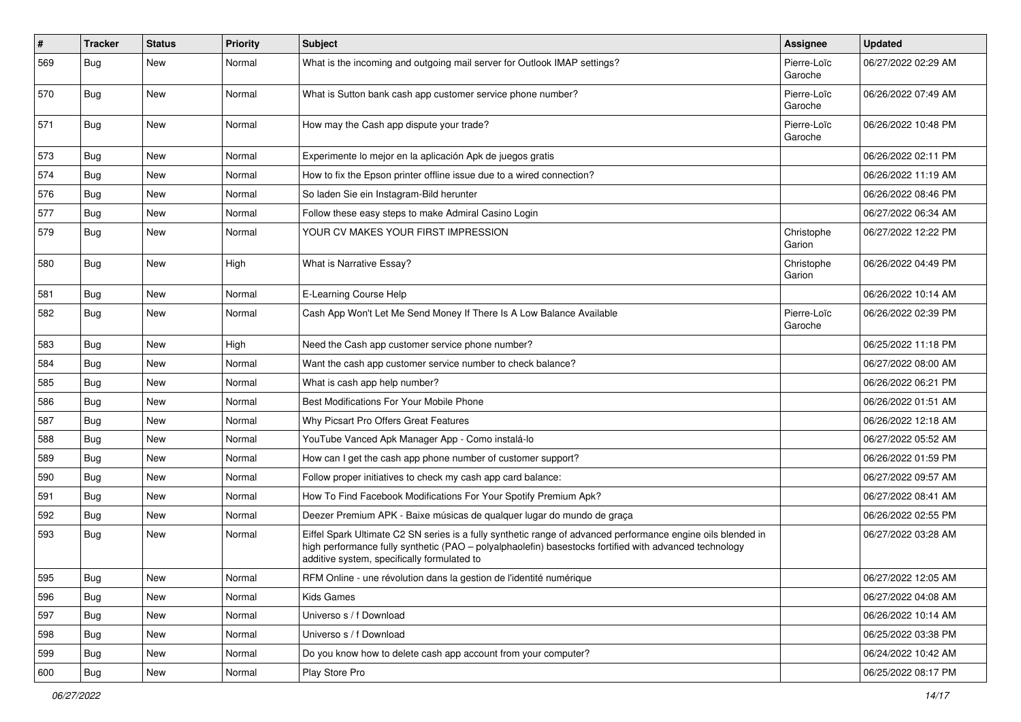| #   | <b>Tracker</b> | <b>Status</b> | Priority | <b>Subject</b>                                                                                                                                                                                                                                                        | <b>Assignee</b>        | <b>Updated</b>      |
|-----|----------------|---------------|----------|-----------------------------------------------------------------------------------------------------------------------------------------------------------------------------------------------------------------------------------------------------------------------|------------------------|---------------------|
| 569 | <b>Bug</b>     | <b>New</b>    | Normal   | What is the incoming and outgoing mail server for Outlook IMAP settings?                                                                                                                                                                                              | Pierre-Loïc<br>Garoche | 06/27/2022 02:29 AM |
| 570 | <b>Bug</b>     | <b>New</b>    | Normal   | What is Sutton bank cash app customer service phone number?                                                                                                                                                                                                           | Pierre-Loïc<br>Garoche | 06/26/2022 07:49 AM |
| 571 | <b>Bug</b>     | <b>New</b>    | Normal   | How may the Cash app dispute your trade?                                                                                                                                                                                                                              | Pierre-Loïc<br>Garoche | 06/26/2022 10:48 PM |
| 573 | <b>Bug</b>     | <b>New</b>    | Normal   | Experimente lo mejor en la aplicación Apk de juegos gratis                                                                                                                                                                                                            |                        | 06/26/2022 02:11 PM |
| 574 | <b>Bug</b>     | <b>New</b>    | Normal   | How to fix the Epson printer offline issue due to a wired connection?                                                                                                                                                                                                 |                        | 06/26/2022 11:19 AM |
| 576 | Bug            | <b>New</b>    | Normal   | So laden Sie ein Instagram-Bild herunter                                                                                                                                                                                                                              |                        | 06/26/2022 08:46 PM |
| 577 | <b>Bug</b>     | <b>New</b>    | Normal   | Follow these easy steps to make Admiral Casino Login                                                                                                                                                                                                                  |                        | 06/27/2022 06:34 AM |
| 579 | <b>Bug</b>     | <b>New</b>    | Normal   | YOUR CV MAKES YOUR FIRST IMPRESSION                                                                                                                                                                                                                                   | Christophe<br>Garion   | 06/27/2022 12:22 PM |
| 580 | <b>Bug</b>     | <b>New</b>    | High     | What is Narrative Essay?                                                                                                                                                                                                                                              | Christophe<br>Garion   | 06/26/2022 04:49 PM |
| 581 | Bug            | <b>New</b>    | Normal   | E-Learning Course Help                                                                                                                                                                                                                                                |                        | 06/26/2022 10:14 AM |
| 582 | <b>Bug</b>     | <b>New</b>    | Normal   | Cash App Won't Let Me Send Money If There Is A Low Balance Available                                                                                                                                                                                                  | Pierre-Loïc<br>Garoche | 06/26/2022 02:39 PM |
| 583 | <b>Bug</b>     | <b>New</b>    | High     | Need the Cash app customer service phone number?                                                                                                                                                                                                                      |                        | 06/25/2022 11:18 PM |
| 584 | <b>Bug</b>     | <b>New</b>    | Normal   | Want the cash app customer service number to check balance?                                                                                                                                                                                                           |                        | 06/27/2022 08:00 AM |
| 585 | <b>Bug</b>     | <b>New</b>    | Normal   | What is cash app help number?                                                                                                                                                                                                                                         |                        | 06/26/2022 06:21 PM |
| 586 | <b>Bug</b>     | <b>New</b>    | Normal   | Best Modifications For Your Mobile Phone                                                                                                                                                                                                                              |                        | 06/26/2022 01:51 AM |
| 587 | <b>Bug</b>     | <b>New</b>    | Normal   | Why Picsart Pro Offers Great Features                                                                                                                                                                                                                                 |                        | 06/26/2022 12:18 AM |
| 588 | <b>Bug</b>     | <b>New</b>    | Normal   | YouTube Vanced Apk Manager App - Como instalá-lo                                                                                                                                                                                                                      |                        | 06/27/2022 05:52 AM |
| 589 | Bug            | <b>New</b>    | Normal   | How can I get the cash app phone number of customer support?                                                                                                                                                                                                          |                        | 06/26/2022 01:59 PM |
| 590 | <b>Bug</b>     | <b>New</b>    | Normal   | Follow proper initiatives to check my cash app card balance:                                                                                                                                                                                                          |                        | 06/27/2022 09:57 AM |
| 591 | <b>Bug</b>     | <b>New</b>    | Normal   | How To Find Facebook Modifications For Your Spotify Premium Apk?                                                                                                                                                                                                      |                        | 06/27/2022 08:41 AM |
| 592 | <b>Bug</b>     | <b>New</b>    | Normal   | Deezer Premium APK - Baixe músicas de qualquer lugar do mundo de graça                                                                                                                                                                                                |                        | 06/26/2022 02:55 PM |
| 593 | Bug            | New           | Normal   | Eiffel Spark Ultimate C2 SN series is a fully synthetic range of advanced performance engine oils blended in<br>high performance fully synthetic (PAO - polyalphaolefin) basestocks fortified with advanced technology<br>additive system, specifically formulated to |                        | 06/27/2022 03:28 AM |
| 595 | <b>Bug</b>     | New           | Normal   | RFM Online - une révolution dans la gestion de l'identité numérique                                                                                                                                                                                                   |                        | 06/27/2022 12:05 AM |
| 596 | <b>Bug</b>     | New           | Normal   | Kids Games                                                                                                                                                                                                                                                            |                        | 06/27/2022 04:08 AM |
| 597 | <b>Bug</b>     | New           | Normal   | Universo s / f Download                                                                                                                                                                                                                                               |                        | 06/26/2022 10:14 AM |
| 598 | <b>Bug</b>     | New           | Normal   | Universo s / f Download                                                                                                                                                                                                                                               |                        | 06/25/2022 03:38 PM |
| 599 | <b>Bug</b>     | New           | Normal   | Do you know how to delete cash app account from your computer?                                                                                                                                                                                                        |                        | 06/24/2022 10:42 AM |
| 600 | <b>Bug</b>     | New           | Normal   | Play Store Pro                                                                                                                                                                                                                                                        |                        | 06/25/2022 08:17 PM |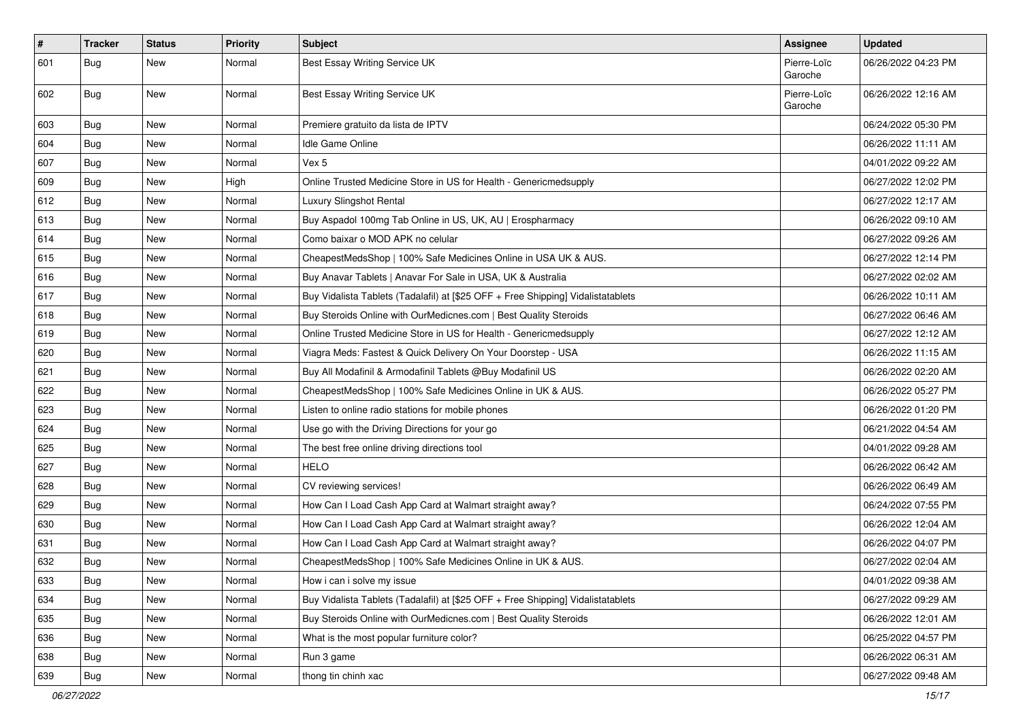| #   | <b>Tracker</b> | <b>Status</b> | <b>Priority</b> | <b>Subject</b>                                                                   | <b>Assignee</b>        | <b>Updated</b>      |
|-----|----------------|---------------|-----------------|----------------------------------------------------------------------------------|------------------------|---------------------|
| 601 | Bug            | New           | Normal          | Best Essay Writing Service UK                                                    | Pierre-Loïc<br>Garoche | 06/26/2022 04:23 PM |
| 602 | Bug            | New           | Normal          | Best Essay Writing Service UK                                                    | Pierre-Loïc<br>Garoche | 06/26/2022 12:16 AM |
| 603 | <b>Bug</b>     | <b>New</b>    | Normal          | Premiere gratuito da lista de IPTV                                               |                        | 06/24/2022 05:30 PM |
| 604 | Bug            | New           | Normal          | Idle Game Online                                                                 |                        | 06/26/2022 11:11 AM |
| 607 | <b>Bug</b>     | <b>New</b>    | Normal          | Vex 5                                                                            |                        | 04/01/2022 09:22 AM |
| 609 | Bug            | New           | High            | Online Trusted Medicine Store in US for Health - Genericmedsupply                |                        | 06/27/2022 12:02 PM |
| 612 | Bug            | New           | Normal          | Luxury Slingshot Rental                                                          |                        | 06/27/2022 12:17 AM |
| 613 | <b>Bug</b>     | <b>New</b>    | Normal          | Buy Aspadol 100mg Tab Online in US, UK, AU   Erospharmacy                        |                        | 06/26/2022 09:10 AM |
| 614 | Bug            | New           | Normal          | Como baixar o MOD APK no celular                                                 |                        | 06/27/2022 09:26 AM |
| 615 | Bug            | New           | Normal          | CheapestMedsShop   100% Safe Medicines Online in USA UK & AUS.                   |                        | 06/27/2022 12:14 PM |
| 616 | Bug            | New           | Normal          | Buy Anavar Tablets   Anavar For Sale in USA, UK & Australia                      |                        | 06/27/2022 02:02 AM |
| 617 | Bug            | <b>New</b>    | Normal          | Buy Vidalista Tablets (Tadalafil) at [\$25 OFF + Free Shipping] Vidalistatablets |                        | 06/26/2022 10:11 AM |
| 618 | <b>Bug</b>     | <b>New</b>    | Normal          | Buy Steroids Online with OurMedicnes.com   Best Quality Steroids                 |                        | 06/27/2022 06:46 AM |
| 619 | <b>Bug</b>     | New           | Normal          | Online Trusted Medicine Store in US for Health - Genericmedsupply                |                        | 06/27/2022 12:12 AM |
| 620 | Bug            | New           | Normal          | Viagra Meds: Fastest & Quick Delivery On Your Doorstep - USA                     |                        | 06/26/2022 11:15 AM |
| 621 | <b>Bug</b>     | New           | Normal          | Buy All Modafinil & Armodafinil Tablets @Buy Modafinil US                        |                        | 06/26/2022 02:20 AM |
| 622 | Bug            | New           | Normal          | CheapestMedsShop   100% Safe Medicines Online in UK & AUS.                       |                        | 06/26/2022 05:27 PM |
| 623 | <b>Bug</b>     | <b>New</b>    | Normal          | Listen to online radio stations for mobile phones                                |                        | 06/26/2022 01:20 PM |
| 624 | <b>Bug</b>     | New           | Normal          | Use go with the Driving Directions for your go                                   |                        | 06/21/2022 04:54 AM |
| 625 | Bug            | New           | Normal          | The best free online driving directions tool                                     |                        | 04/01/2022 09:28 AM |
| 627 | <b>Bug</b>     | <b>New</b>    | Normal          | <b>HELO</b>                                                                      |                        | 06/26/2022 06:42 AM |
| 628 | Bug            | New           | Normal          | CV reviewing services!                                                           |                        | 06/26/2022 06:49 AM |
| 629 | <b>Bug</b>     | New           | Normal          | How Can I Load Cash App Card at Walmart straight away?                           |                        | 06/24/2022 07:55 PM |
| 630 | Bug            | New           | Normal          | How Can I Load Cash App Card at Walmart straight away?                           |                        | 06/26/2022 12:04 AM |
| 631 | Bug            | <b>New</b>    | Normal          | How Can I Load Cash App Card at Walmart straight away?                           |                        | 06/26/2022 04:07 PM |
| 632 | <b>Bug</b>     | New           | Normal          | CheapestMedsShop   100% Safe Medicines Online in UK & AUS.                       |                        | 06/27/2022 02:04 AM |
| 633 | Bug            | New           | Normal          | How i can i solve my issue                                                       |                        | 04/01/2022 09:38 AM |
| 634 | Bug            | New           | Normal          | Buy Vidalista Tablets (Tadalafil) at [\$25 OFF + Free Shipping] Vidalistatablets |                        | 06/27/2022 09:29 AM |
| 635 | Bug            | New           | Normal          | Buy Steroids Online with OurMedicnes.com   Best Quality Steroids                 |                        | 06/26/2022 12:01 AM |
| 636 | Bug            | New           | Normal          | What is the most popular furniture color?                                        |                        | 06/25/2022 04:57 PM |
| 638 | <b>Bug</b>     | New           | Normal          | Run 3 game                                                                       |                        | 06/26/2022 06:31 AM |
| 639 | <b>Bug</b>     | New           | Normal          | thong tin chinh xac                                                              |                        | 06/27/2022 09:48 AM |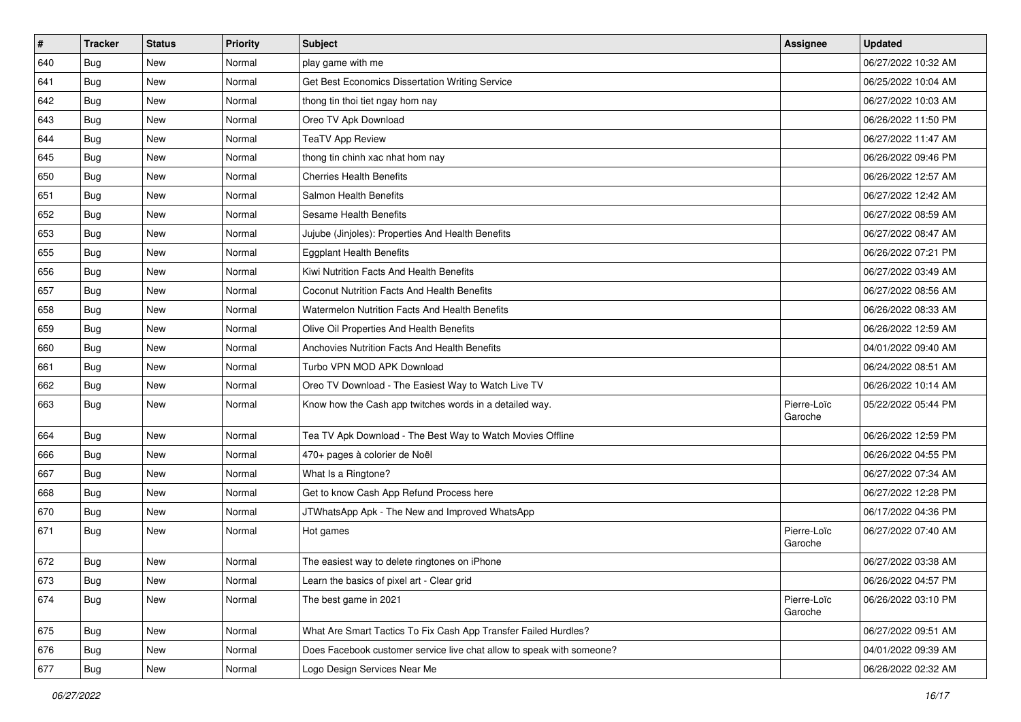| $\#$ | <b>Tracker</b> | <b>Status</b> | <b>Priority</b> | <b>Subject</b>                                                        | <b>Assignee</b>        | <b>Updated</b>      |
|------|----------------|---------------|-----------------|-----------------------------------------------------------------------|------------------------|---------------------|
| 640  | <b>Bug</b>     | <b>New</b>    | Normal          | play game with me                                                     |                        | 06/27/2022 10:32 AM |
| 641  | <b>Bug</b>     | <b>New</b>    | Normal          | Get Best Economics Dissertation Writing Service                       |                        | 06/25/2022 10:04 AM |
| 642  | <b>Bug</b>     | <b>New</b>    | Normal          | thong tin thoi tiet ngay hom nay                                      |                        | 06/27/2022 10:03 AM |
| 643  | <b>Bug</b>     | <b>New</b>    | Normal          | Oreo TV Apk Download                                                  |                        | 06/26/2022 11:50 PM |
| 644  | Bug            | <b>New</b>    | Normal          | <b>TeaTV App Review</b>                                               |                        | 06/27/2022 11:47 AM |
| 645  | <b>Bug</b>     | New           | Normal          | thong tin chinh xac nhat hom nay                                      |                        | 06/26/2022 09:46 PM |
| 650  | <b>Bug</b>     | <b>New</b>    | Normal          | <b>Cherries Health Benefits</b>                                       |                        | 06/26/2022 12:57 AM |
| 651  | <b>Bug</b>     | <b>New</b>    | Normal          | Salmon Health Benefits                                                |                        | 06/27/2022 12:42 AM |
| 652  | <b>Bug</b>     | <b>New</b>    | Normal          | Sesame Health Benefits                                                |                        | 06/27/2022 08:59 AM |
| 653  | <b>Bug</b>     | <b>New</b>    | Normal          | Jujube (Jinjoles): Properties And Health Benefits                     |                        | 06/27/2022 08:47 AM |
| 655  | <b>Bug</b>     | New           | Normal          | <b>Eggplant Health Benefits</b>                                       |                        | 06/26/2022 07:21 PM |
| 656  | Bug            | <b>New</b>    | Normal          | Kiwi Nutrition Facts And Health Benefits                              |                        | 06/27/2022 03:49 AM |
| 657  | <b>Bug</b>     | New           | Normal          | Coconut Nutrition Facts And Health Benefits                           |                        | 06/27/2022 08:56 AM |
| 658  | <b>Bug</b>     | <b>New</b>    | Normal          | Watermelon Nutrition Facts And Health Benefits                        |                        | 06/26/2022 08:33 AM |
| 659  | <b>Bug</b>     | <b>New</b>    | Normal          | Olive Oil Properties And Health Benefits                              |                        | 06/26/2022 12:59 AM |
| 660  | Bug            | <b>New</b>    | Normal          | Anchovies Nutrition Facts And Health Benefits                         |                        | 04/01/2022 09:40 AM |
| 661  | Bug            | <b>New</b>    | Normal          | Turbo VPN MOD APK Download                                            |                        | 06/24/2022 08:51 AM |
| 662  | Bug            | <b>New</b>    | Normal          | Oreo TV Download - The Easiest Way to Watch Live TV                   |                        | 06/26/2022 10:14 AM |
| 663  | <b>Bug</b>     | <b>New</b>    | Normal          | Know how the Cash app twitches words in a detailed way.               | Pierre-Loïc<br>Garoche | 05/22/2022 05:44 PM |
| 664  | Bug            | <b>New</b>    | Normal          | Tea TV Apk Download - The Best Way to Watch Movies Offline            |                        | 06/26/2022 12:59 PM |
| 666  | <b>Bug</b>     | <b>New</b>    | Normal          | 470+ pages à colorier de Noël                                         |                        | 06/26/2022 04:55 PM |
| 667  | <b>Bug</b>     | <b>New</b>    | Normal          | What Is a Ringtone?                                                   |                        | 06/27/2022 07:34 AM |
| 668  | <b>Bug</b>     | New           | Normal          | Get to know Cash App Refund Process here                              |                        | 06/27/2022 12:28 PM |
| 670  | <b>Bug</b>     | <b>New</b>    | Normal          | JTWhatsApp Apk - The New and Improved WhatsApp                        |                        | 06/17/2022 04:36 PM |
| 671  | <b>Bug</b>     | <b>New</b>    | Normal          | Hot games                                                             | Pierre-Loïc<br>Garoche | 06/27/2022 07:40 AM |
| 672  | <b>Bug</b>     | <b>New</b>    | Normal          | The easiest way to delete ringtones on iPhone                         |                        | 06/27/2022 03:38 AM |
| 673  | Bug            | New           | Normal          | Learn the basics of pixel art - Clear grid                            |                        | 06/26/2022 04:57 PM |
| 674  | <b>Bug</b>     | New           | Normal          | The best game in 2021                                                 | Pierre-Loïc<br>Garoche | 06/26/2022 03:10 PM |
| 675  | <b>Bug</b>     | New           | Normal          | What Are Smart Tactics To Fix Cash App Transfer Failed Hurdles?       |                        | 06/27/2022 09:51 AM |
| 676  | <b>Bug</b>     | New           | Normal          | Does Facebook customer service live chat allow to speak with someone? |                        | 04/01/2022 09:39 AM |
| 677  | Bug            | New           | Normal          | Logo Design Services Near Me                                          |                        | 06/26/2022 02:32 AM |